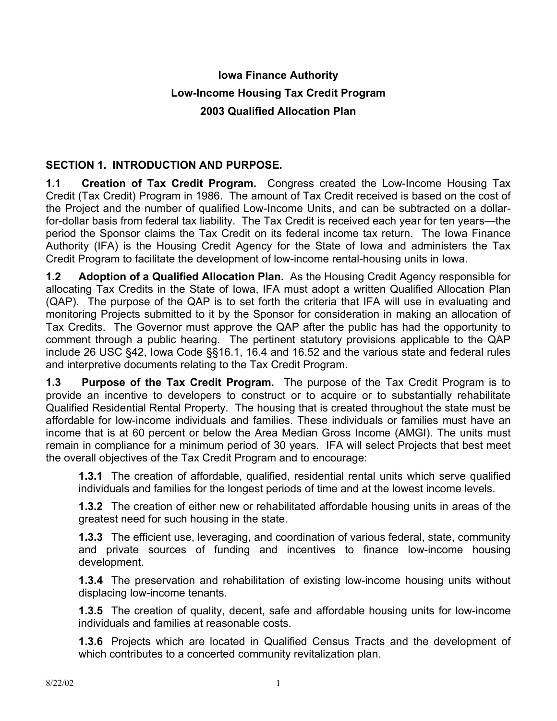# **Iowa Finance Authority Low-Income Housing Tax Credit Program 2003 Qualified Allocation Plan**

## **SECTION 1. INTRODUCTION AND PURPOSE.**

**1.1 Creation of Tax Credit Program.** Congress created the Low-Income Housing Tax Credit (Tax Credit) Program in 1986. The amount of Tax Credit received is based on the cost of the Project and the number of qualified Low-Income Units, and can be subtracted on a dollarfor-dollar basis from federal tax liability. The Tax Credit is received each year for ten years—the period the Sponsor claims the Tax Credit on its federal income tax return. The Iowa Finance Authority (IFA) is the Housing Credit Agency for the State of Iowa and administers the Tax Credit Program to facilitate the development of low-income rental-housing units in Iowa.

**1.2 Adoption of a Qualified Allocation Plan.** As the Housing Credit Agency responsible for allocating Tax Credits in the State of Iowa, IFA must adopt a written Qualified Allocation Plan (QAP). The purpose of the QAP is to set forth the criteria that IFA will use in evaluating and monitoring Projects submitted to it by the Sponsor for consideration in making an allocation of Tax Credits. The Governor must approve the QAP after the public has had the opportunity to comment through a public hearing. The pertinent statutory provisions applicable to the QAP include 26 USC §42, Iowa Code §§16.1, 16.4 and 16.52 and the various state and federal rules and interpretive documents relating to the Tax Credit Program.

**1.3 Purpose of the Tax Credit Program.** The purpose of the Tax Credit Program is to provide an incentive to developers to construct or to acquire or to substantially rehabilitate Qualified Residential Rental Property. The housing that is created throughout the state must be affordable for low-income individuals and families. These individuals or families must have an income that is at 60 percent or below the Area Median Gross Income (AMGI). The units must remain in compliance for a minimum period of 30 years. IFA will select Projects that best meet the overall objectives of the Tax Credit Program and to encourage:

**1.3.1** The creation of affordable, qualified, residential rental units which serve qualified individuals and families for the longest periods of time and at the lowest income levels.

**1.3.2** The creation of either new or rehabilitated affordable housing units in areas of the greatest need for such housing in the state.

**1.3.3** The efficient use, leveraging, and coordination of various federal, state, community and private sources of funding and incentives to finance low-income housing development.

**1.3.4** The preservation and rehabilitation of existing low-income housing units without displacing low-income tenants.

**1.3.5** The creation of quality, decent, safe and affordable housing units for low-income individuals and families at reasonable costs.

**1.3.6** Projects which are located in Qualified Census Tracts and the development of which contributes to a concerted community revitalization plan.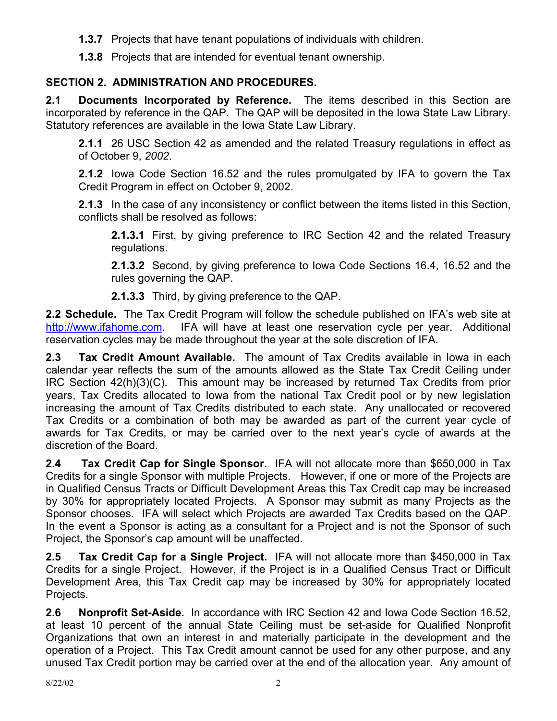- **1.3.7** Projects that have tenant populations of individuals with children.
- **1.3.8** Projects that are intended for eventual tenant ownership.

# **SECTION 2. ADMINISTRATION AND PROCEDURES.**

**2.1 Documents Incorporated by Reference.** The items described in this Section are incorporated by reference in the QAP. The QAP will be deposited in the Iowa State Law Library. Statutory references are available in the Iowa State Law Library.

**2.1.1** 26 USC Section 42 as amended and the related Treasury regulations in effect as of October 9, *2002*.

**2.1.2** Iowa Code Section 16.52 and the rules promulgated by IFA to govern the Tax Credit Program in effect on October 9, 2002.

**2.1.3** In the case of any inconsistency or conflict between the items listed in this Section, conflicts shall be resolved as follows:

**2.1.3.1** First, by giving preference to IRC Section 42 and the related Treasury regulations.

**2.1.3.2** Second, by giving preference to Iowa Code Sections 16.4, 16.52 and the rules governing the QAP.

**2.1.3.3** Third, by giving preference to the QAP.

**2.2 Schedule.** The Tax Credit Program will follow the schedule published on IFA's web site at http://www.ifahome.com. IFA will have at least one reservation cycle per year. Additional reservation cycles may be made throughout the year at the sole discretion of IFA.

**2.3 Tax Credit Amount Available.** The amount of Tax Credits available in Iowa in each calendar year reflects the sum of the amounts allowed as the State Tax Credit Ceiling under IRC Section 42(h)(3)(C). This amount may be increased by returned Tax Credits from prior years, Tax Credits allocated to Iowa from the national Tax Credit pool or by new legislation increasing the amount of Tax Credits distributed to each state.Any unallocated or recovered Tax Credits or a combination of both may be awarded as part of the current year cycle of awards for Tax Credits, or may be carried over to the next year's cycle of awards at the discretion of the Board.

**2.4 Tax Credit Cap for Single Sponsor.** IFA will not allocate more than \$650,000 in Tax Credits for a single Sponsor with multiple Projects. However, if one or more of the Projects are in Qualified Census Tracts or Difficult Development Areas this Tax Credit cap may be increased by 30% for appropriately located Projects. A Sponsor may submit as many Projects as the Sponsor chooses. IFA will select which Projects are awarded Tax Credits based on the QAP. In the event a Sponsor is acting as a consultant for a Project and is not the Sponsor of such Project, the Sponsor's cap amount will be unaffected.

**2.5 Tax Credit Cap for a Single Project.** IFA will not allocate more than \$450,000 in Tax Credits for a single Project. However, if the Project is in a Qualified Census Tract or Difficult Development Area, this Tax Credit cap may be increased by 30% for appropriately located Projects.

**2.6 Nonprofit Set-Aside.** In accordance with IRC Section 42 and Iowa Code Section 16.52, at least 10 percent of the annual State Ceiling must be set-aside for Qualified Nonprofit Organizations that own an interest in and materially participate in the development and the operation of a Project. This Tax Credit amount cannot be used for any other purpose, and any unused Tax Credit portion may be carried over at the end of the allocation year. Any amount of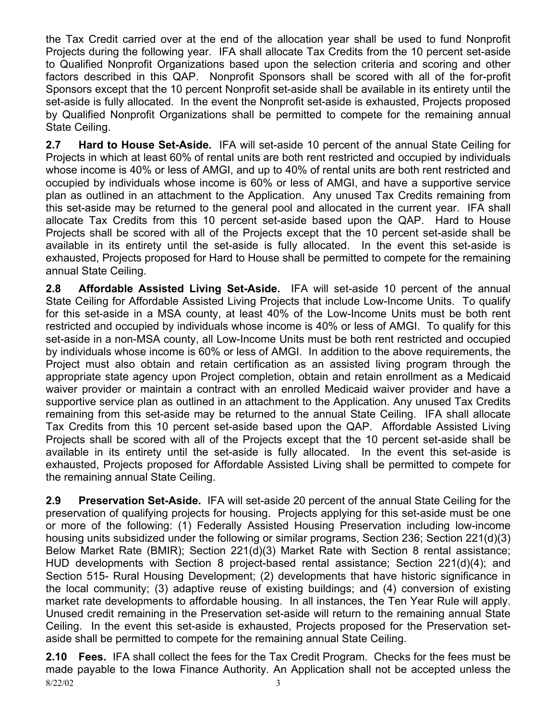the Tax Credit carried over at the end of the allocation year shall be used to fund Nonprofit Projects during the following year. IFA shall allocate Tax Credits from the 10 percent set-aside to Qualified Nonprofit Organizations based upon the selection criteria and scoring and other factors described in this QAP. Nonprofit Sponsors shall be scored with all of the for-profit Sponsors except that the 10 percent Nonprofit set-aside shall be available in its entirety until the set-aside is fully allocated. In the event the Nonprofit set-aside is exhausted, Projects proposed by Qualified Nonprofit Organizations shall be permitted to compete for the remaining annual State Ceiling.

**2.7 Hard to House Set-Aside.** IFA will set-aside 10 percent of the annual State Ceiling for Projects in which at least 60% of rental units are both rent restricted and occupied by individuals whose income is 40% or less of AMGI, and up to 40% of rental units are both rent restricted and occupied by individuals whose income is 60% or less of AMGI, and have a supportive service plan as outlined in an attachment to the Application. Any unused Tax Credits remaining from this set-aside may be returned to the general pool and allocated in the current year. IFA shall allocate Tax Credits from this 10 percent set-aside based upon the QAP. Hard to House Projects shall be scored with all of the Projects except that the 10 percent set-aside shall be available in its entirety until the set-aside is fully allocated. In the event this set-aside is exhausted, Projects proposed for Hard to House shall be permitted to compete for the remaining annual State Ceiling.

**2.8 Affordable Assisted Living Set-Aside.** IFA will set-aside 10 percent of the annual State Ceiling for Affordable Assisted Living Projects that include Low-Income Units. To qualify for this set-aside in a MSA county, at least 40% of the Low-Income Units must be both rent restricted and occupied by individuals whose income is 40% or less of AMGI. To qualify for this set-aside in a non-MSA county, all Low-Income Units must be both rent restricted and occupied by individuals whose income is 60% or less of AMGI. In addition to the above requirements, the Project must also obtain and retain certification as an assisted living program through the appropriate state agency upon Project completion, obtain and retain enrollment as a Medicaid waiver provider or maintain a contract with an enrolled Medicaid waiver provider and have a supportive service plan as outlined in an attachment to the Application. Any unused Tax Credits remaining from this set-aside may be returned to the annual State Ceiling. IFA shall allocate Tax Credits from this 10 percent set-aside based upon the QAP. Affordable Assisted Living Projects shall be scored with all of the Projects except that the 10 percent set-aside shall be available in its entirety until the set-aside is fully allocated. In the event this set-aside is exhausted, Projects proposed for Affordable Assisted Living shall be permitted to compete for the remaining annual State Ceiling.

**2.9 Preservation Set-Aside.** IFA will set-aside 20 percent of the annual State Ceiling for the preservation of qualifying projects for housing. Projects applying for this set-aside must be one or more of the following: (1) Federally Assisted Housing Preservation including low-income housing units subsidized under the following or similar programs, Section 236; Section 221(d)(3) Below Market Rate (BMIR); Section 221(d)(3) Market Rate with Section 8 rental assistance; HUD developments with Section 8 project-based rental assistance; Section 221(d)(4); and Section 515- Rural Housing Development; (2) developments that have historic significance in the local community; (3) adaptive reuse of existing buildings; and (4) conversion of existing market rate developments to affordable housing. In all instances, the Ten Year Rule will apply. Unused credit remaining in the Preservation set-aside will return to the remaining annual State Ceiling. In the event this set-aside is exhausted, Projects proposed for the Preservation setaside shall be permitted to compete for the remaining annual State Ceiling.

 $8/22/02$  3 **2.10 Fees.** IFA shall collect the fees for the Tax Credit Program. Checks for the fees must be made payable to the Iowa Finance Authority. An Application shall not be accepted unless the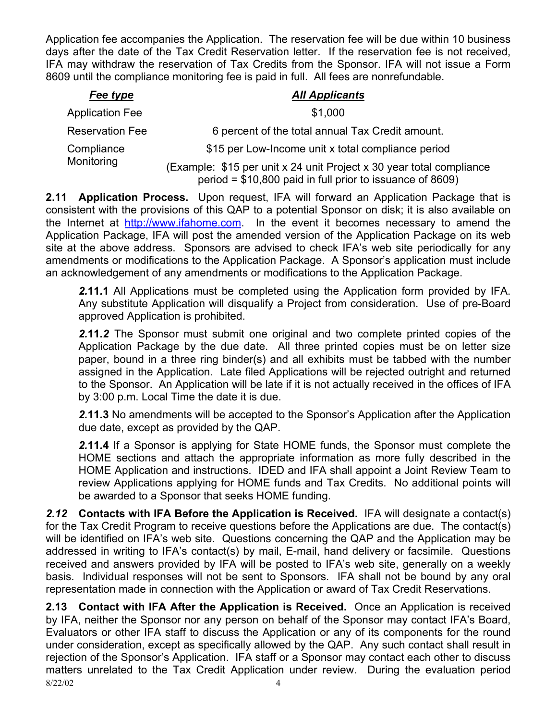Application fee accompanies the Application. The reservation fee will be due within 10 business days after the date of the Tax Credit Reservation letter. If the reservation fee is not received, IFA may withdraw the reservation of Tax Credits from the Sponsor. IFA will not issue a Form 8609 until the compliance monitoring fee is paid in full. All fees are nonrefundable.

| Fee type               | <b>All Applicants</b>                                                                                                             |
|------------------------|-----------------------------------------------------------------------------------------------------------------------------------|
| <b>Application Fee</b> | \$1,000                                                                                                                           |
| <b>Reservation Fee</b> | 6 percent of the total annual Tax Credit amount.                                                                                  |
| Compliance             | \$15 per Low-Income unit x total compliance period                                                                                |
| Monitoring             | (Example: \$15 per unit x 24 unit Project x 30 year total compliance<br>period = \$10,800 paid in full prior to issuance of 8609) |

**2.11 Application Process.** Upon request, IFA will forward an Application Package that is consistent with the provisions of this QAP to a potential Sponsor on disk; it is also available on the Internet at http://www.ifahome.com. In the event it becomes necessary to amend the Application Package, IFA will post the amended version of the Application Package on its web site at the above address. Sponsors are advised to check IFA's web site periodically for any amendments or modifications to the Application Package. A Sponsor's application must include an acknowledgement of any amendments or modifications to the Application Package.

*2.***11***.***1** All Applications must be completed using the Application form provided by IFA. Any substitute Application will disqualify a Project from consideration. Use of pre-Board approved Application is prohibited.

*2.***11***.2*The Sponsor must submit one original and two complete printed copies of the Application Package by the due date. All three printed copies must be on letter size paper, bound in a three ring binder(s) and all exhibits must be tabbed with the number assigned in the Application. Late filed Applications will be rejected outright and returned to the Sponsor. An Application will be late if it is not actually received in the offices of IFA by 3:00 p.m. Local Time the date it is due.

*2.***11***.***3** No amendments will be accepted to the Sponsor's Application after the Application due date, except as provided by the QAP.

*2.***11***.***4** If a Sponsor is applying for State HOME funds, the Sponsor must complete the HOME sections and attach the appropriate information as more fully described in the HOME Application and instructions. IDED and IFA shall appoint a Joint Review Team to review Applications applying for HOME funds and Tax Credits. No additional points will be awarded to a Sponsor that seeks HOME funding.

*2.12* **Contacts with IFA Before the Application is Received.** IFA will designate a contact(s) for the Tax Credit Program to receive questions before the Applications are due. The contact(s) will be identified on IFA's web site. Questions concerning the QAP and the Application may be addressed in writing to IFA's contact(s) by mail, E-mail, hand delivery or facsimile. Questions received and answers provided by IFA will be posted to IFA's web site, generally on a weekly basis. Individual responses will not be sent to Sponsors. IFA shall not be bound by any oral representation made in connection with the Application or award of Tax Credit Reservations.

8/22/02 4 **2.13 Contact with IFA After the Application is Received.** Once an Application is received by IFA, neither the Sponsor nor any person on behalf of the Sponsor may contact IFA's Board, Evaluators or other IFA staff to discuss the Application or any of its components for the round under consideration, except as specifically allowed by the QAP. Any such contact shall result in rejection of the Sponsor's Application. IFA staff or a Sponsor may contact each other to discuss matters unrelated to the Tax Credit Application under review. During the evaluation period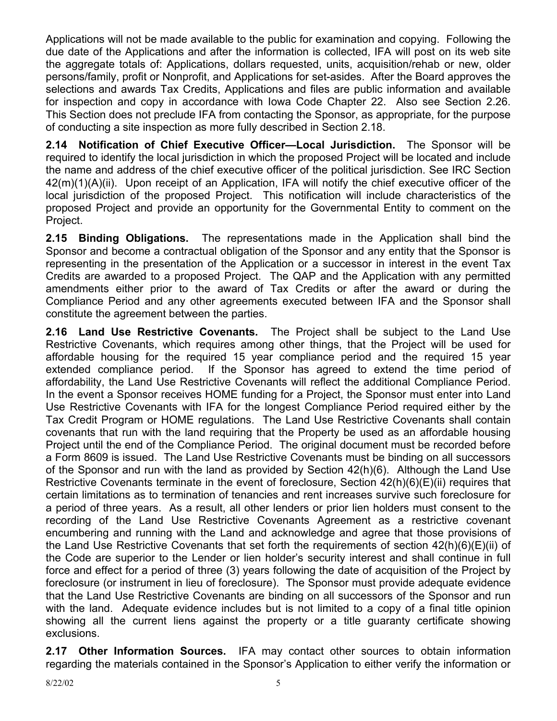Applications will not be made available to the public for examination and copying. Following the due date of the Applications and after the information is collected, IFA will post on its web site the aggregate totals of: Applications, dollars requested, units, acquisition/rehab or new, older persons/family, profit or Nonprofit, and Applications for set-asides. After the Board approves the selections and awards Tax Credits, Applications and files are public information and available for inspection and copy in accordance with Iowa Code Chapter 22. Also see Section 2.26. This Section does not preclude IFA from contacting the Sponsor, as appropriate, for the purpose of conducting a site inspection as more fully described in Section 2.18.

**2.14 Notification of Chief Executive Officer—Local Jurisdiction.** The Sponsor will be required to identify the local jurisdiction in which the proposed Project will be located and include the name and address of the chief executive officer of the political jurisdiction. See IRC Section 42(m)(1)(A)(ii). Upon receipt of an Application, IFA will notify the chief executive officer of the local jurisdiction of the proposed Project. This notification will include characteristics of the proposed Project and provide an opportunity for the Governmental Entity to comment on the Project.

**2.15 Binding Obligations.** The representations made in the Application shall bind the Sponsor and become a contractual obligation of the Sponsor and any entity that the Sponsor is representing in the presentation of the Application or a successor in interest in the event Tax Credits are awarded to a proposed Project. The QAP and the Application with any permitted amendments either prior to the award of Tax Credits or after the award or during the Compliance Period and any other agreements executed between IFA and the Sponsor shall constitute the agreement between the parties.

**2.16 Land Use Restrictive Covenants.** The Project shall be subject to the Land Use Restrictive Covenants, which requires among other things, that the Project will be used for affordable housing for the required 15 year compliance period and the required 15 year extended compliance period. If the Sponsor has agreed to extend the time period of affordability, the Land Use Restrictive Covenants will reflect the additional Compliance Period. In the event a Sponsor receives HOME funding for a Project, the Sponsor must enter into Land Use Restrictive Covenants with IFA for the longest Compliance Period required either by the Tax Credit Program or HOME regulations. The Land Use Restrictive Covenants shall contain covenants that run with the land requiring that the Property be used as an affordable housing Project until the end of the Compliance Period. The original document must be recorded before a Form 8609 is issued. The Land Use Restrictive Covenants must be binding on all successors of the Sponsor and run with the land as provided by Section 42(h)(6). Although the Land Use Restrictive Covenants terminate in the event of foreclosure, Section 42(h)(6)(E)(ii) requires that certain limitations as to termination of tenancies and rent increases survive such foreclosure for a period of three years. As a result, all other lenders or prior lien holders must consent to the recording of the Land Use Restrictive Covenants Agreement as a restrictive covenant encumbering and running with the Land and acknowledge and agree that those provisions of the Land Use Restrictive Covenants that set forth the requirements of section 42(h)(6)(E)(ii) of the Code are superior to the Lender or lien holder's security interest and shall continue in full force and effect for a period of three (3) years following the date of acquisition of the Project by foreclosure (or instrument in lieu of foreclosure). The Sponsor must provide adequate evidence that the Land Use Restrictive Covenants are binding on all successors of the Sponsor and run with the land. Adequate evidence includes but is not limited to a copy of a final title opinion showing all the current liens against the property or a title guaranty certificate showing exclusions.

**2.17 Other Information Sources.** IFA may contact other sources to obtain information regarding the materials contained in the Sponsor's Application to either verify the information or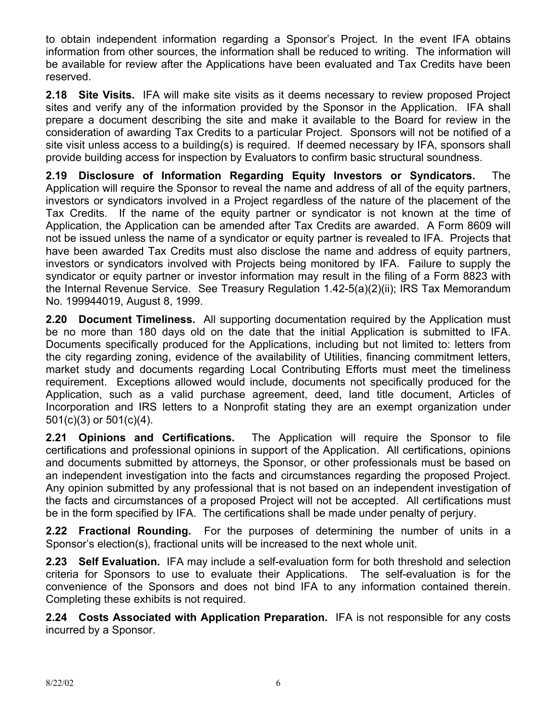to obtain independent information regarding a Sponsor's Project. In the event IFA obtains information from other sources, the information shall be reduced to writing. The information will be available for review after the Applications have been evaluated and Tax Credits have been reserved.

**2.18 Site Visits.** IFA will make site visits as it deems necessary to review proposed Project sites and verify any of the information provided by the Sponsor in the Application. IFA shall prepare a document describing the site and make it available to the Board for review in the consideration of awarding Tax Credits to a particular Project. Sponsors will not be notified of a site visit unless access to a building(s) is required. If deemed necessary by IFA, sponsors shall provide building access for inspection by Evaluators to confirm basic structural soundness.

**2.19 Disclosure of Information Regarding Equity Investors or Syndicators.** The Application will require the Sponsor to reveal the name and address of all of the equity partners, investors or syndicators involved in a Project regardless of the nature of the placement of the Tax Credits. If the name of the equity partner or syndicator is not known at the time of Application, the Application can be amended after Tax Credits are awarded. A Form 8609 will not be issued unless the name of a syndicator or equity partner is revealed to IFA. Projects that have been awarded Tax Credits must also disclose the name and address of equity partners, investors or syndicators involved with Projects being monitored by IFA. Failure to supply the syndicator or equity partner or investor information may result in the filing of a Form 8823 with the Internal Revenue Service. See Treasury Regulation 1.42-5(a)(2)(ii); IRS Tax Memorandum No. 199944019, August 8, 1999.

**2.20 Document Timeliness.** All supporting documentation required by the Application must be no more than 180 days old on the date that the initial Application is submitted to IFA. Documents specifically produced for the Applications, including but not limited to: letters from the city regarding zoning, evidence of the availability of Utilities, financing commitment letters, market study and documents regarding Local Contributing Efforts must meet the timeliness requirement. Exceptions allowed would include, documents not specifically produced for the Application, such as a valid purchase agreement, deed, land title document, Articles of Incorporation and IRS letters to a Nonprofit stating they are an exempt organization under 501(c)(3) or 501(c)(4).

**2.21 Opinions and Certifications.** The Application will require the Sponsor to file certifications and professional opinions in support of the Application. All certifications, opinions and documents submitted by attorneys, the Sponsor, or other professionals must be based on an independent investigation into the facts and circumstances regarding the proposed Project. Any opinion submitted by any professional that is not based on an independent investigation of the facts and circumstances of a proposed Project will not be accepted. All certifications must be in the form specified by IFA. The certifications shall be made under penalty of perjury.

**2.22 Fractional Rounding.** For the purposes of determining the number of units in a Sponsor's election(s), fractional units will be increased to the next whole unit.

**2.23 Self Evaluation.** IFA may include a self-evaluation form for both threshold and selection criteria for Sponsors to use to evaluate their Applications. The self-evaluation is for the convenience of the Sponsors and does not bind IFA to any information contained therein. Completing these exhibits is not required.

**2.24 Costs Associated with Application Preparation.** IFA is not responsible for any costs incurred by a Sponsor.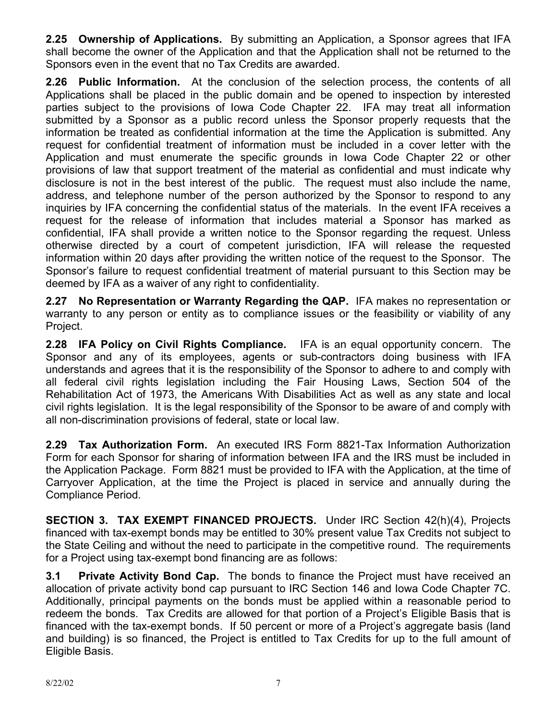**2.25 Ownership of Applications.** By submitting an Application, a Sponsor agrees that IFA shall become the owner of the Application and that the Application shall not be returned to the Sponsors even in the event that no Tax Credits are awarded.

**2.26 Public Information.** At the conclusion of the selection process, the contents of all Applications shall be placed in the public domain and be opened to inspection by interested parties subject to the provisions of Iowa Code Chapter 22. IFA may treat all information submitted by a Sponsor as a public record unless the Sponsor properly requests that the information be treated as confidential information at the time the Application is submitted. Any request for confidential treatment of information must be included in a cover letter with the Application and must enumerate the specific grounds in Iowa Code Chapter 22 or other provisions of law that support treatment of the material as confidential and must indicate why disclosure is not in the best interest of the public. The request must also include the name, address, and telephone number of the person authorized by the Sponsor to respond to any inquiries by IFA concerning the confidential status of the materials. In the event IFA receives a request for the release of information that includes material a Sponsor has marked as confidential, IFA shall provide a written notice to the Sponsor regarding the request. Unless otherwise directed by a court of competent jurisdiction, IFA will release the requested information within 20 days after providing the written notice of the request to the Sponsor. The Sponsor's failure to request confidential treatment of material pursuant to this Section may be deemed by IFA as a waiver of any right to confidentiality.

**2.27 No Representation or Warranty Regarding the QAP.** IFA makes no representation or warranty to any person or entity as to compliance issues or the feasibility or viability of any Project.

**2.28 IFA Policy on Civil Rights Compliance.** IFA is an equal opportunity concern. The Sponsor and any of its employees, agents or sub-contractors doing business with IFA understands and agrees that it is the responsibility of the Sponsor to adhere to and comply with all federal civil rights legislation including the Fair Housing Laws, Section 504 of the Rehabilitation Act of 1973, the Americans With Disabilities Act as well as any state and local civil rights legislation. It is the legal responsibility of the Sponsor to be aware of and comply with all non-discrimination provisions of federal, state or local law.

**2.29 Tax Authorization Form.** An executed IRS Form 8821-Tax Information Authorization Form for each Sponsor for sharing of information between IFA and the IRS must be included in the Application Package. Form 8821 must be provided to IFA with the Application, at the time of Carryover Application, at the time the Project is placed in service and annually during the Compliance Period.

**SECTION 3. TAX EXEMPT FINANCED PROJECTS.** Under IRC Section 42(h)(4), Projects financed with tax-exempt bonds may be entitled to 30% present value Tax Credits not subject to the State Ceiling and without the need to participate in the competitive round. The requirements for a Project using tax-exempt bond financing are as follows:

**3.1 Private Activity Bond Cap.** The bonds to finance the Project must have received an allocation of private activity bond cap pursuant to IRC Section 146 and Iowa Code Chapter 7C. Additionally, principal payments on the bonds must be applied within a reasonable period to redeem the bonds. Tax Credits are allowed for that portion of a Project's Eligible Basis that is financed with the tax-exempt bonds. If 50 percent or more of a Project's aggregate basis (land and building) is so financed, the Project is entitled to Tax Credits for up to the full amount of Eligible Basis.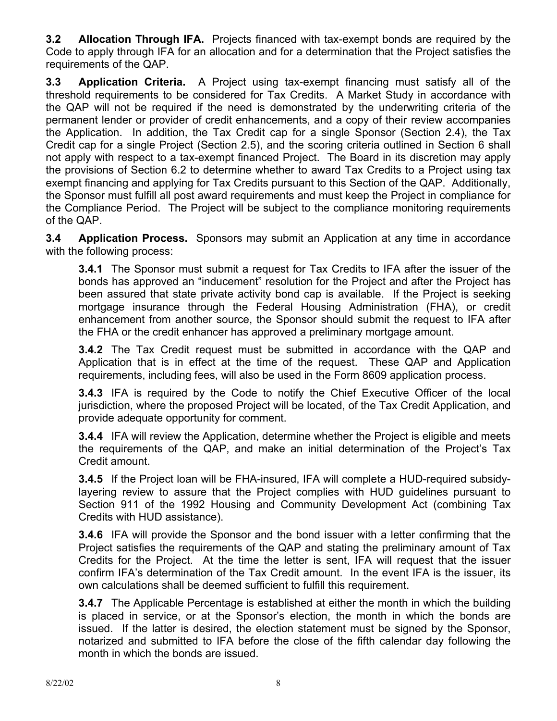**3.2 Allocation Through IFA.** Projects financed with tax-exempt bonds are required by the Code to apply through IFA for an allocation and for a determination that the Project satisfies the requirements of the QAP.

**3.3 Application Criteria.** A Project using tax-exempt financing must satisfy all of the threshold requirements to be considered for Tax Credits. A Market Study in accordance with the QAP will not be required if the need is demonstrated by the underwriting criteria of the permanent lender or provider of credit enhancements, and a copy of their review accompanies the Application. In addition, the Tax Credit cap for a single Sponsor (Section 2.4), the Tax Credit cap for a single Project (Section 2.5), and the scoring criteria outlined in Section 6 shall not apply with respect to a tax-exempt financed Project. The Board in its discretion may apply the provisions of Section 6.2 to determine whether to award Tax Credits to a Project using tax exempt financing and applying for Tax Credits pursuant to this Section of the QAP. Additionally, the Sponsor must fulfill all post award requirements and must keep the Project in compliance for the Compliance Period. The Project will be subject to the compliance monitoring requirements of the QAP.

**3.4 Application Process.** Sponsors may submit an Application at any time in accordance with the following process:

**3.4.1** The Sponsor must submit a request for Tax Credits to IFA after the issuer of the bonds has approved an "inducement" resolution for the Project and after the Project has been assured that state private activity bond cap is available. If the Project is seeking mortgage insurance through the Federal Housing Administration (FHA), or credit enhancement from another source, the Sponsor should submit the request to IFA after the FHA or the credit enhancer has approved a preliminary mortgage amount.

**3.4.2** The Tax Credit request must be submitted in accordance with the QAP and Application that is in effect at the time of the request. These QAP and Application requirements, including fees, will also be used in the Form 8609 application process.

**3.4.3** IFA is required by the Code to notify the Chief Executive Officer of the local jurisdiction, where the proposed Project will be located, of the Tax Credit Application, and provide adequate opportunity for comment.

**3.4.4** IFA will review the Application, determine whether the Project is eligible and meets the requirements of the QAP, and make an initial determination of the Project's Tax Credit amount.

**3.4.5** If the Project loan will be FHA-insured, IFA will complete a HUD-required subsidylayering review to assure that the Project complies with HUD guidelines pursuant to Section 911 of the 1992 Housing and Community Development Act (combining Tax Credits with HUD assistance).

**3.4.6** IFA will provide the Sponsor and the bond issuer with a letter confirming that the Project satisfies the requirements of the QAP and stating the preliminary amount of Tax Credits for the Project. At the time the letter is sent, IFA will request that the issuer confirm IFA's determination of the Tax Credit amount. In the event IFA is the issuer, its own calculations shall be deemed sufficient to fulfill this requirement.

**3.4.7** The Applicable Percentage is established at either the month in which the building is placed in service, or at the Sponsor's election, the month in which the bonds are issued. If the latter is desired, the election statement must be signed by the Sponsor, notarized and submitted to IFA before the close of the fifth calendar day following the month in which the bonds are issued.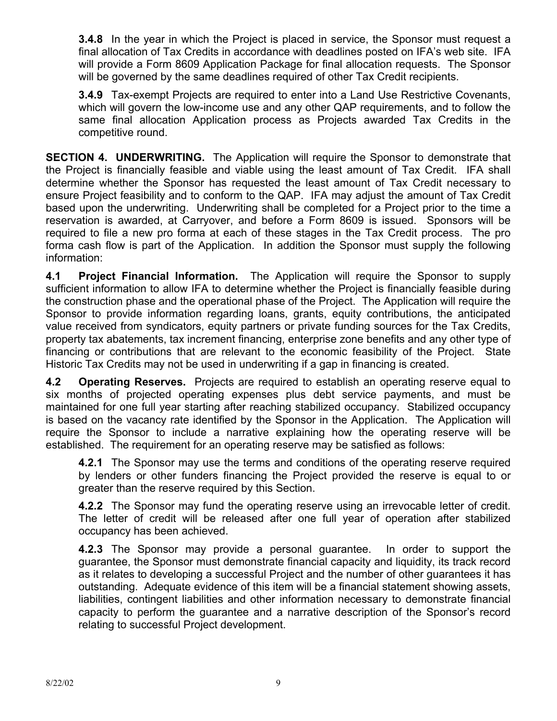**3.4.8** In the year in which the Project is placed in service, the Sponsor must request a final allocation of Tax Credits in accordance with deadlines posted on IFA's web site. IFA will provide a Form 8609 Application Package for final allocation requests. The Sponsor will be governed by the same deadlines required of other Tax Credit recipients.

**3.4.9** Tax-exempt Projects are required to enter into a Land Use Restrictive Covenants, which will govern the low-income use and any other QAP requirements, and to follow the same final allocation Application process as Projects awarded Tax Credits in the competitive round.

**SECTION 4. UNDERWRITING.** The Application will require the Sponsor to demonstrate that the Project is financially feasible and viable using the least amount of Tax Credit. IFA shall determine whether the Sponsor has requested the least amount of Tax Credit necessary to ensure Project feasibility and to conform to the QAP. IFA may adjust the amount of Tax Credit based upon the underwriting. Underwriting shall be completed for a Project prior to the time a reservation is awarded, at Carryover, and before a Form 8609 is issued. Sponsors will be required to file a new pro forma at each of these stages in the Tax Credit process. The pro forma cash flow is part of the Application. In addition the Sponsor must supply the following information:

**4.1 Project Financial Information.** The Application will require the Sponsor to supply sufficient information to allow IFA to determine whether the Project is financially feasible during the construction phase and the operational phase of the Project. The Application will require the Sponsor to provide information regarding loans, grants, equity contributions, the anticipated value received from syndicators, equity partners or private funding sources for the Tax Credits, property tax abatements, tax increment financing, enterprise zone benefits and any other type of financing or contributions that are relevant to the economic feasibility of the Project. State Historic Tax Credits may not be used in underwriting if a gap in financing is created.

**4.2 Operating Reserves.** Projects are required to establish an operating reserve equal to six months of projected operating expenses plus debt service payments, and must be maintained for one full year starting after reaching stabilized occupancy. Stabilized occupancy is based on the vacancy rate identified by the Sponsor in the Application. The Application will require the Sponsor to include a narrative explaining how the operating reserve will be established. The requirement for an operating reserve may be satisfied as follows:

**4.2.1** The Sponsor may use the terms and conditions of the operating reserve required by lenders or other funders financing the Project provided the reserve is equal to or greater than the reserve required by this Section.

**4.2.2** The Sponsor may fund the operating reserve using an irrevocable letter of credit. The letter of credit will be released after one full year of operation after stabilized occupancy has been achieved.

**4.2.3** The Sponsor may provide a personal guarantee. In order to support the guarantee, the Sponsor must demonstrate financial capacity and liquidity, its track record as it relates to developing a successful Project and the number of other guarantees it has outstanding. Adequate evidence of this item will be a financial statement showing assets, liabilities, contingent liabilities and other information necessary to demonstrate financial capacity to perform the guarantee and a narrative description of the Sponsor's record relating to successful Project development.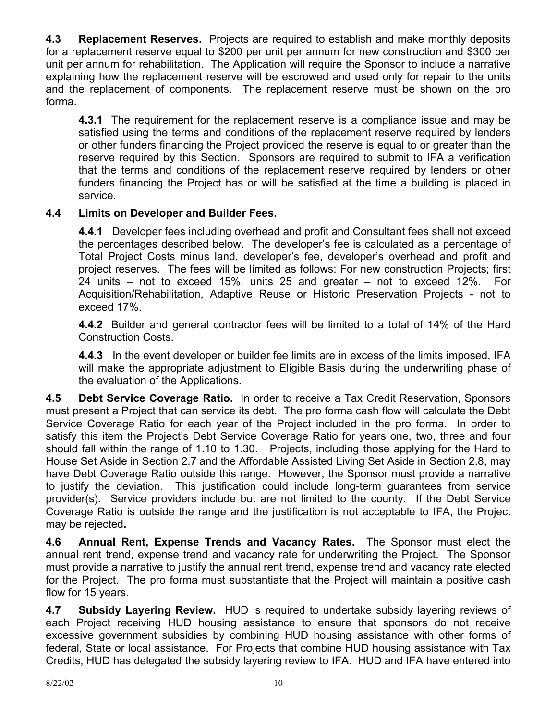**4.3 Replacement Reserves.** Projects are required to establish and make monthly deposits for a replacement reserve equal to \$200 per unit per annum for new construction and \$300 per unit per annum for rehabilitation. The Application will require the Sponsor to include a narrative explaining how the replacement reserve will be escrowed and used only for repair to the units and the replacement of components. The replacement reserve must be shown on the pro forma.

**4.3.1** The requirement for the replacement reserve is a compliance issue and may be satisfied using the terms and conditions of the replacement reserve required by lenders or other funders financing the Project provided the reserve is equal to or greater than the reserve required by this Section. Sponsors are required to submit to IFA a verification that the terms and conditions of the replacement reserve required by lenders or other funders financing the Project has or will be satisfied at the time a building is placed in service.

## **4.4 Limits on Developer and Builder Fees.**

**4.4.1** Developer fees including overhead and profit and Consultant fees shall not exceed the percentages described below. The developer's fee is calculated as a percentage of Total Project Costs minus land, developer's fee, developer's overhead and profit and project reserves. The fees will be limited as follows: For new construction Projects; first 24 units – not to exceed 15%, units 25 and greater – not to exceed 12%. For Acquisition/Rehabilitation, Adaptive Reuse or Historic Preservation Projects - not to exceed 17%.

**4.4.2** Builder and general contractor fees will be limited to a total of 14% of the Hard Construction Costs.

**4.4.3** In the event developer or builder fee limits are in excess of the limits imposed, IFA will make the appropriate adjustment to Eligible Basis during the underwriting phase of the evaluation of the Applications.

**4.5 Debt Service Coverage Ratio.** In order to receive a Tax Credit Reservation, Sponsors must present a Project that can service its debt. The pro forma cash flow will calculate the Debt Service Coverage Ratio for each year of the Project included in the pro forma. In order to satisfy this item the Project's Debt Service Coverage Ratio for years one, two, three and four should fall within the range of 1.10 to 1.30. Projects, including those applying for the Hard to House Set Aside in Section 2.7 and the Affordable Assisted Living Set Aside in Section 2.8, may have Debt Coverage Ratio outside this range. However, the Sponsor must provide a narrative to justify the deviation. This justification could include long-term guarantees from service provider(s). Service providers include but are not limited to the county. If the Debt Service Coverage Ratio is outside the range and the justification is not acceptable to IFA, the Project may be rejected**.** 

**4.6 Annual Rent, Expense Trends and Vacancy Rates.** The Sponsor must elect the annual rent trend, expense trend and vacancy rate for underwriting the Project. The Sponsor must provide a narrative to justify the annual rent trend, expense trend and vacancy rate elected for the Project. The pro forma must substantiate that the Project will maintain a positive cash flow for 15 years.

**4.7 Subsidy Layering Review.** HUD is required to undertake subsidy layering reviews of each Project receiving HUD housing assistance to ensure that sponsors do not receive excessive government subsidies by combining HUD housing assistance with other forms of federal, State or local assistance. For Projects that combine HUD housing assistance with Tax Credits, HUD has delegated the subsidy layering review to IFA. HUD and IFA have entered into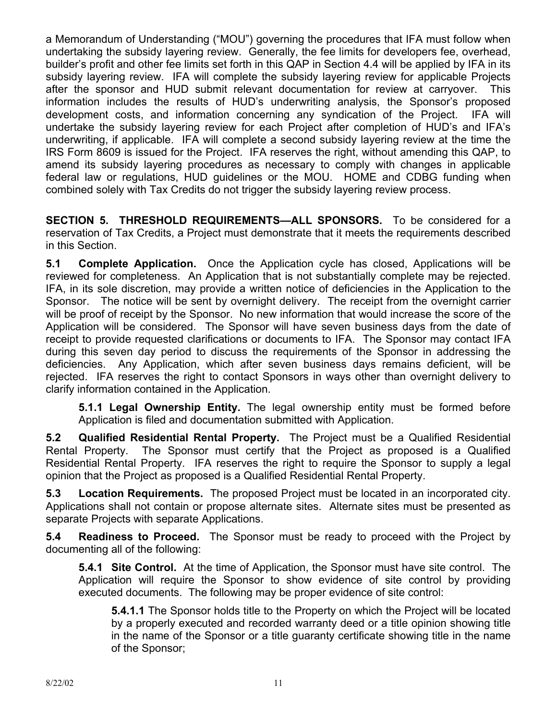a Memorandum of Understanding ("MOU") governing the procedures that IFA must follow when undertaking the subsidy layering review. Generally, the fee limits for developers fee, overhead, builder's profit and other fee limits set forth in this QAP in Section 4.4 will be applied by IFA in its subsidy layering review. IFA will complete the subsidy layering review for applicable Projects after the sponsor and HUD submit relevant documentation for review at carryover. This information includes the results of HUD's underwriting analysis, the Sponsor's proposed development costs, and information concerning any syndication of the Project. IFA will undertake the subsidy layering review for each Project after completion of HUD's and IFA's underwriting, if applicable. IFA will complete a second subsidy layering review at the time the IRS Form 8609 is issued for the Project. IFA reserves the right, without amending this QAP, to amend its subsidy layering procedures as necessary to comply with changes in applicable federal law or regulations, HUD guidelines or the MOU. HOME and CDBG funding when combined solely with Tax Credits do not trigger the subsidy layering review process.

**SECTION 5. THRESHOLD REQUIREMENTS—ALL SPONSORS.** To be considered for a reservation of Tax Credits, a Project must demonstrate that it meets the requirements described in this Section.

**5.1 Complete Application.** Once the Application cycle has closed, Applications will be reviewed for completeness. An Application that is not substantially complete may be rejected. IFA, in its sole discretion, may provide a written notice of deficiencies in the Application to the Sponsor. The notice will be sent by overnight delivery. The receipt from the overnight carrier will be proof of receipt by the Sponsor. No new information that would increase the score of the Application will be considered. The Sponsor will have seven business days from the date of receipt to provide requested clarifications or documents to IFA. The Sponsor may contact IFA during this seven day period to discuss the requirements of the Sponsor in addressing the deficiencies. Any Application, which after seven business days remains deficient, will be rejected. IFA reserves the right to contact Sponsors in ways other than overnight delivery to clarify information contained in the Application.

**5.1.1 Legal Ownership Entity.** The legal ownership entity must be formed before Application is filed and documentation submitted with Application.

**5.2 Qualified Residential Rental Property.** The Project must be a Qualified Residential Rental Property. The Sponsor must certify that the Project as proposed is a Qualified Residential Rental Property. IFA reserves the right to require the Sponsor to supply a legal opinion that the Project as proposed is a Qualified Residential Rental Property.

**5.3 Location Requirements.** The proposed Project must be located in an incorporated city. Applications shall not contain or propose alternate sites. Alternate sites must be presented as separate Projects with separate Applications.

**5.4 Readiness to Proceed.** The Sponsor must be ready to proceed with the Project by documenting all of the following:

**5.4.1 Site Control.** At the time of Application, the Sponsor must have site control. The Application will require the Sponsor to show evidence of site control by providing executed documents. The following may be proper evidence of site control:

**5.4.1.1** The Sponsor holds title to the Property on which the Project will be located by a properly executed and recorded warranty deed or a title opinion showing title in the name of the Sponsor or a title guaranty certificate showing title in the name of the Sponsor;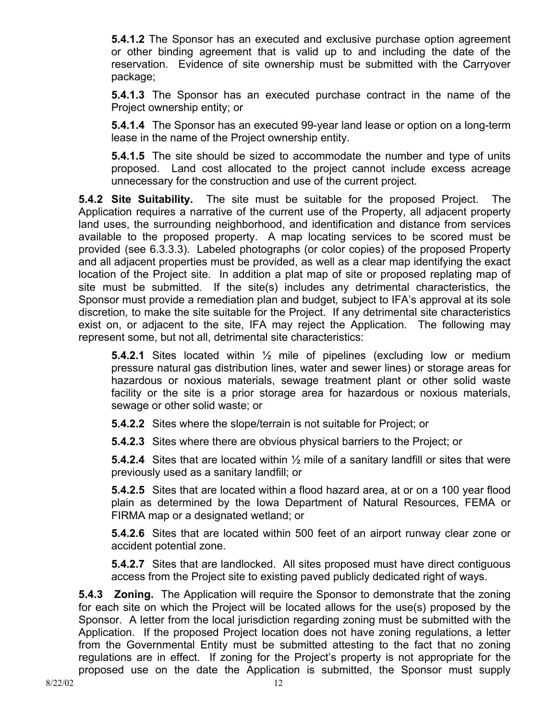**5.4.1.2** The Sponsor has an executed and exclusive purchase option agreement or other binding agreement that is valid up to and including the date of the reservation. Evidence of site ownership must be submitted with the Carryover package;

**5.4.1.3** The Sponsor has an executed purchase contract in the name of the Project ownership entity; or

**5.4.1.4** The Sponsor has an executed 99-year land lease or option on a long-term lease in the name of the Project ownership entity.

**5.4.1.5** The site should be sized to accommodate the number and type of units proposed. Land cost allocated to the project cannot include excess acreage unnecessary for the construction and use of the current project.

**5.4.2 Site Suitability.** The site must be suitable for the proposed Project. The Application requires a narrative of the current use of the Property, all adjacent property land uses, the surrounding neighborhood, and identification and distance from services available to the proposed property.A map locating services to be scored must be provided (see 6.3.3.3). Labeled photographs (or color copies) of the proposed Property and all adjacent properties must be provided, as well as a clear map identifying the exact location of the Project site. In addition a plat map of site or proposed replating map of site must be submitted.If the site(s) includes any detrimental characteristics, the Sponsor must provide a remediation plan and budget*,* subject to IFA's approval at its sole discretion*,* to make the site suitable for the Project. If any detrimental site characteristics exist on, or adjacent to the site, IFA may reject the Application.The following may represent some, but not all, detrimental site characteristics:

**5.4.2.1** Sites located within ½ mile of pipelines (excluding low or medium pressure natural gas distribution lines, water and sewer lines) or storage areas for hazardous or noxious materials, sewage treatment plant or other solid waste facility or the site is a prior storage area for hazardous or noxious materials, sewage or other solid waste; or

**5.4.2.2** Sites where the slope/terrain is not suitable for Project; or

**5.4.2.3** Sites where there are obvious physical barriers to the Project; or

**5.4.2.4** Sites that are located within ½ mile of a sanitary landfill or sites that were previously used as a sanitary landfill; or

**5.4.2.5** Sites that are located within a flood hazard area, at or on a 100 year flood plain as determined by the Iowa Department of Natural Resources, FEMA or FIRMA map or a designated wetland; or

**5.4.2.6** Sites that are located within 500 feet of an airport runway clear zone or accident potential zone.

**5.4.2.7** Sites that are landlocked. All sites proposed must have direct contiguous access from the Project site to existing paved publicly dedicated right of ways.

**5.4.3 Zoning.** The Application will require the Sponsor to demonstrate that the zoning for each site on which the Project will be located allows for the use(s) proposed by the Sponsor. A letter from the local jurisdiction regarding zoning must be submitted with the Application. If the proposed Project location does not have zoning regulations, a letter from the Governmental Entity must be submitted attesting to the fact that no zoning regulations are in effect. If zoning for the Project's property is not appropriate for the proposed use on the date the Application is submitted, the Sponsor must supply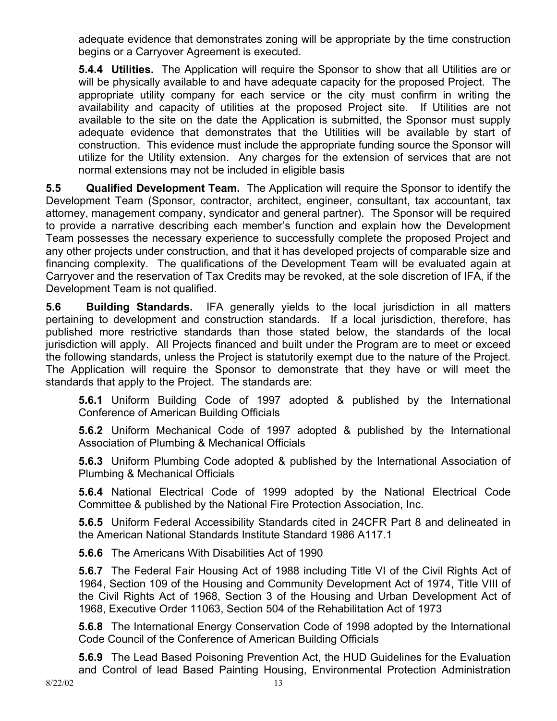adequate evidence that demonstrates zoning will be appropriate by the time construction begins or a Carryover Agreement is executed.

**5.4.4 Utilities.** The Application will require the Sponsor to show that all Utilities are or will be physically available to and have adequate capacity for the proposed Project. The appropriate utility company for each service or the city must confirm in writing the availability and capacity of utilities at the proposed Project site. If Utilities are not available to the site on the date the Application is submitted, the Sponsor must supply adequate evidence that demonstrates that the Utilities will be available by start of construction. This evidence must include the appropriate funding source the Sponsor will utilize for the Utility extension. Any charges for the extension of services that are not normal extensions may not be included in eligible basis

**5.5 Qualified Development Team.** The Application will require the Sponsor to identify the Development Team (Sponsor, contractor, architect, engineer, consultant, tax accountant, tax attorney, management company, syndicator and general partner). The Sponsor will be required to provide a narrative describing each member's function and explain how the Development Team possesses the necessary experience to successfully complete the proposed Project and any other projects under construction, and that it has developed projects of comparable size and financing complexity. The qualifications of the Development Team will be evaluated again at Carryover and the reservation of Tax Credits may be revoked, at the sole discretion of IFA, if the Development Team is not qualified.

**5.6 Building Standards.** IFA generally yields to the local jurisdiction in all matters pertaining to development and construction standards. If a local jurisdiction, therefore, has published more restrictive standards than those stated below, the standards of the local jurisdiction will apply. All Projects financed and built under the Program are to meet or exceed the following standards, unless the Project is statutorily exempt due to the nature of the Project. The Application will require the Sponsor to demonstrate that they have or will meet the standards that apply to the Project. The standards are:

**5.6.1** Uniform Building Code of 1997 adopted & published by the International Conference of American Building Officials

**5.6.2** Uniform Mechanical Code of 1997 adopted & published by the International Association of Plumbing & Mechanical Officials

**5.6.3** Uniform Plumbing Code adopted & published by the International Association of Plumbing & Mechanical Officials

**5.6.4** National Electrical Code of 1999 adopted by the National Electrical Code Committee & published by the National Fire Protection Association, Inc.

**5.6.5** Uniform Federal Accessibility Standards cited in 24CFR Part 8 and delineated in the American National Standards Institute Standard 1986 A117.1

**5.6.6** The Americans With Disabilities Act of 1990

**5.6.7** The Federal Fair Housing Act of 1988 including Title VI of the Civil Rights Act of 1964, Section 109 of the Housing and Community Development Act of 1974, Title VIII of the Civil Rights Act of 1968, Section 3 of the Housing and Urban Development Act of 1968, Executive Order 11063, Section 504 of the Rehabilitation Act of 1973

**5.6.8** The International Energy Conservation Code of 1998 adopted by the International Code Council of the Conference of American Building Officials

**5.6.9** The Lead Based Poisoning Prevention Act, the HUD Guidelines for the Evaluation and Control of lead Based Painting Housing, Environmental Protection Administration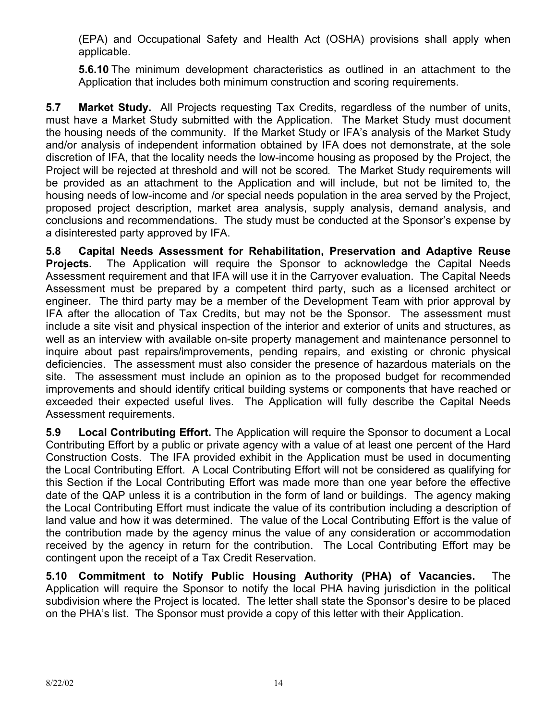(EPA) and Occupational Safety and Health Act (OSHA) provisions shall apply when applicable.

**5.6.10** The minimum development characteristics as outlined in an attachment to the Application that includes both minimum construction and scoring requirements.

**5.7 Market Study.** All Projects requesting Tax Credits, regardless of the number of units, must have a Market Study submitted with the Application. The Market Study must document the housing needs of the community. If the Market Study or IFA's analysis of the Market Study and/or analysis of independent information obtained by IFA does not demonstrate, at the sole discretion of IFA, that the locality needs the low-income housing as proposed by the Project, the Project will be rejected at threshold and will not be scored*.* The Market Study requirements will be provided as an attachment to the Application and will include, but not be limited to, the housing needs of low-income and /or special needs population in the area served by the Project, proposed project description, market area analysis, supply analysis, demand analysis, and conclusions and recommendations. The study must be conducted at the Sponsor's expense by a disinterested party approved by IFA.

**5.8 Capital Needs Assessment for Rehabilitation, Preservation and Adaptive Reuse Projects.** The Application will require the Sponsor to acknowledge the Capital Needs Assessment requirement and that IFA will use it in the Carryover evaluation. The Capital Needs Assessment must be prepared by a competent third party, such as a licensed architect or engineer. The third party may be a member of the Development Team with prior approval by IFA after the allocation of Tax Credits, but may not be the Sponsor. The assessment must include a site visit and physical inspection of the interior and exterior of units and structures, as well as an interview with available on-site property management and maintenance personnel to inquire about past repairs/improvements, pending repairs, and existing or chronic physical deficiencies. The assessment must also consider the presence of hazardous materials on the site. The assessment must include an opinion as to the proposed budget for recommended improvements and should identify critical building systems or components that have reached or exceeded their expected useful lives. The Application will fully describe the Capital Needs Assessment requirements.

**5.9 Local Contributing Effort.** The Application will require the Sponsor to document a Local Contributing Effort by a public or private agency with a value of at least one percent of the Hard Construction Costs. The IFA provided exhibit in the Application must be used in documenting the Local Contributing Effort. A Local Contributing Effort will not be considered as qualifying for this Section if the Local Contributing Effort was made more than one year before the effective date of the QAP unless it is a contribution in the form of land or buildings. The agency making the Local Contributing Effort must indicate the value of its contribution including a description of land value and how it was determined. The value of the Local Contributing Effort is the value of the contribution made by the agency minus the value of any consideration or accommodation received by the agency in return for the contribution. The Local Contributing Effort may be contingent upon the receipt of a Tax Credit Reservation.

**5.10 Commitment to Notify Public Housing Authority (PHA) of Vacancies.** The Application will require the Sponsor to notify the local PHA having jurisdiction in the political subdivision where the Project is located. The letter shall state the Sponsor's desire to be placed on the PHA's list. The Sponsor must provide a copy of this letter with their Application.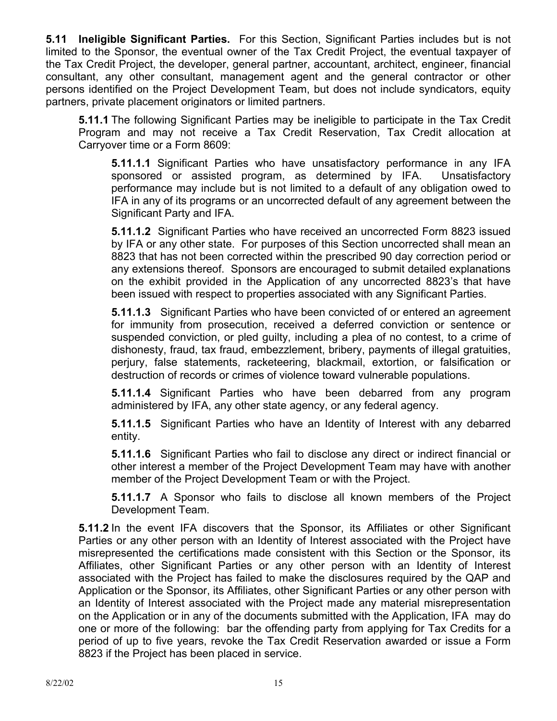**5.11 Ineligible Significant Parties.** For this Section, Significant Parties includes but is not limited to the Sponsor, the eventual owner of the Tax Credit Project, the eventual taxpayer of the Tax Credit Project, the developer, general partner, accountant, architect, engineer, financial consultant, any other consultant, management agent and the general contractor or other persons identified on the Project Development Team, but does not include syndicators, equity partners, private placement originators or limited partners.

**5.11.1** The following Significant Parties may be ineligible to participate in the Tax Credit Program and may not receive a Tax Credit Reservation, Tax Credit allocation at Carryover time or a Form 8609:

**5.11.1.1** Significant Parties who have unsatisfactory performance in any IFA sponsored or assisted program, as determined by IFA. Unsatisfactory performance may include but is not limited to a default of any obligation owed to IFA in any of its programs or an uncorrected default of any agreement between the Significant Party and IFA.

**5.11.1.2** Significant Parties who have received an uncorrected Form 8823 issued by IFA or any other state. For purposes of this Section uncorrected shall mean an 8823 that has not been corrected within the prescribed 90 day correction period or any extensions thereof. Sponsors are encouraged to submit detailed explanations on the exhibit provided in the Application of any uncorrected 8823's that have been issued with respect to properties associated with any Significant Parties.

**5.11.1.3** Significant Parties who have been convicted of or entered an agreement for immunity from prosecution, received a deferred conviction or sentence or suspended conviction, or pled guilty, including a plea of no contest, to a crime of dishonesty, fraud, tax fraud, embezzlement, bribery, payments of illegal gratuities, perjury, false statements, racketeering, blackmail, extortion, or falsification or destruction of records or crimes of violence toward vulnerable populations.

**5.11.1.4** Significant Parties who have been debarred from any program administered by IFA, any other state agency, or any federal agency.

**5.11.1.5** Significant Parties who have an Identity of Interest with any debarred entity.

**5.11.1.6** Significant Parties who fail to disclose any direct or indirect financial or other interest a member of the Project Development Team may have with another member of the Project Development Team or with the Project.

**5.11.1.7** A Sponsor who fails to disclose all known members of the Project Development Team.

**5.11.2** In the event IFA discovers that the Sponsor, its Affiliates or other Significant Parties or any other person with an Identity of Interest associated with the Project have misrepresented the certifications made consistent with this Section or the Sponsor, its Affiliates, other Significant Parties or any other person with an Identity of Interest associated with the Project has failed to make the disclosures required by the QAP and Application or the Sponsor, its Affiliates, other Significant Parties or any other person with an Identity of Interest associated with the Project made any material misrepresentation on the Application or in any of the documents submitted with the Application, IFA may do one or more of the following: bar the offending party from applying for Tax Credits for a period of up to five years, revoke the Tax Credit Reservation awarded or issue a Form 8823 if the Project has been placed in service.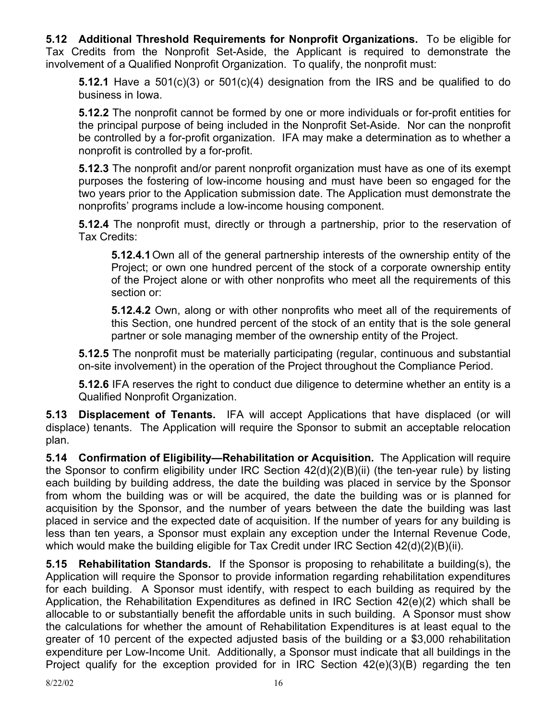**5.12 Additional Threshold Requirements for Nonprofit Organizations.** To be eligible for Tax Credits from the Nonprofit Set-Aside, the Applicant is required to demonstrate the involvement of a Qualified Nonprofit Organization. To qualify, the nonprofit must:

**5.12.1** Have a 501(c)(3) or 501(c)(4) designation from the IRS and be qualified to do business in Iowa.

**5.12.2** The nonprofit cannot be formed by one or more individuals or for-profit entities for the principal purpose of being included in the Nonprofit Set-Aside. Nor can the nonprofit be controlled by a for-profit organization. IFA may make a determination as to whether a nonprofit is controlled by a for-profit.

**5.12.3** The nonprofit and/or parent nonprofit organization must have as one of its exempt purposes the fostering of low-income housing and must have been so engaged for the two years prior to the Application submission date. The Application must demonstrate the nonprofits' programs include a low-income housing component.

**5.12.4** The nonprofit must, directly or through a partnership, prior to the reservation of Tax Credits:

**5.12.4.1** Own all of the general partnership interests of the ownership entity of the Project; or own one hundred percent of the stock of a corporate ownership entity of the Project alone or with other nonprofits who meet all the requirements of this section or:

**5.12.4.2** Own, along or with other nonprofits who meet all of the requirements of this Section, one hundred percent of the stock of an entity that is the sole general partner or sole managing member of the ownership entity of the Project.

**5.12.5** The nonprofit must be materially participating (regular, continuous and substantial on-site involvement) in the operation of the Project throughout the Compliance Period.

**5.12.6** IFA reserves the right to conduct due diligence to determine whether an entity is a Qualified Nonprofit Organization.

**5.13 Displacement of Tenants.** IFA will accept Applications that have displaced (or will displace) tenants. The Application will require the Sponsor to submit an acceptable relocation plan.

**5.14 Confirmation of Eligibility—Rehabilitation or Acquisition.** The Application will require the Sponsor to confirm eligibility under IRC Section 42(d)(2)(B)(ii) (the ten-year rule) by listing each building by building address, the date the building was placed in service by the Sponsor from whom the building was or will be acquired, the date the building was or is planned for acquisition by the Sponsor, and the number of years between the date the building was last placed in service and the expected date of acquisition. If the number of years for any building is less than ten years, a Sponsor must explain any exception under the Internal Revenue Code, which would make the building eligible for Tax Credit under IRC Section 42(d)(2)(B)(ii).

**5.15 Rehabilitation Standards.** If the Sponsor is proposing to rehabilitate a building(s), the Application will require the Sponsor to provide information regarding rehabilitation expenditures for each building. A Sponsor must identify, with respect to each building as required by the Application, the Rehabilitation Expenditures as defined in IRC Section 42(e)(2) which shall be allocable to or substantially benefit the affordable units in such building. A Sponsor must show the calculations for whether the amount of Rehabilitation Expenditures is at least equal to the greater of 10 percent of the expected adjusted basis of the building or a \$3,000 rehabilitation expenditure per Low-Income Unit. Additionally, a Sponsor must indicate that all buildings in the Project qualify for the exception provided for in IRC Section 42(e)(3)(B) regarding the ten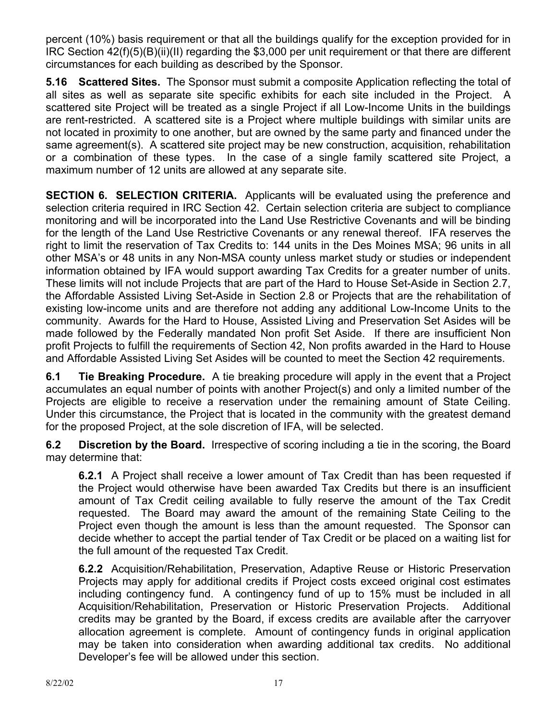percent (10%) basis requirement or that all the buildings qualify for the exception provided for in IRC Section 42(f)(5)(B)(ii)(II) regarding the \$3,000 per unit requirement or that there are different circumstances for each building as described by the Sponsor.

**5.16 Scattered Sites.** The Sponsor must submit a composite Application reflecting the total of all sites as well as separate site specific exhibits for each site included in the Project. A scattered site Project will be treated as a single Project if all Low-Income Units in the buildings are rent-restricted. A scattered site is a Project where multiple buildings with similar units are not located in proximity to one another, but are owned by the same party and financed under the same agreement(s). A scattered site project may be new construction, acquisition, rehabilitation or a combination of these types. In the case of a single family scattered site Project, a maximum number of 12 units are allowed at any separate site.

**SECTION 6. SELECTION CRITERIA.** Applicants will be evaluated using the preference and selection criteria required in IRC Section 42. Certain selection criteria are subject to compliance monitoring and will be incorporated into the Land Use Restrictive Covenants and will be binding for the length of the Land Use Restrictive Covenants or any renewal thereof. IFA reserves the right to limit the reservation of Tax Credits to: 144 units in the Des Moines MSA; 96 units in all other MSA's or 48 units in any Non-MSA county unless market study or studies or independent information obtained by IFA would support awarding Tax Credits for a greater number of units. These limits will not include Projects that are part of the Hard to House Set-Aside in Section 2.7, the Affordable Assisted Living Set-Aside in Section 2.8 or Projects that are the rehabilitation of existing low-income units and are therefore not adding any additional Low-Income Units to the community. Awards for the Hard to House, Assisted Living and Preservation Set Asides will be made followed by the Federally mandated Non profit Set Aside. If there are insufficient Non profit Projects to fulfill the requirements of Section 42, Non profits awarded in the Hard to House and Affordable Assisted Living Set Asides will be counted to meet the Section 42 requirements.

**6.1 Tie Breaking Procedure.** A tie breaking procedure will apply in the event that a Project accumulates an equal number of points with another Project(s) and only a limited number of the Projects are eligible to receive a reservation under the remaining amount of State Ceiling. Under this circumstance, the Project that is located in the community with the greatest demand for the proposed Project, at the sole discretion of IFA, will be selected.

**6.2 Discretion by the Board.** Irrespective of scoring including a tie in the scoring, the Board may determine that:

**6.2.1** A Project shall receive a lower amount of Tax Credit than has been requested if the Project would otherwise have been awarded Tax Credits but there is an insufficient amount of Tax Credit ceiling available to fully reserve the amount of the Tax Credit requested. The Board may award the amount of the remaining State Ceiling to the Project even though the amount is less than the amount requested. The Sponsor can decide whether to accept the partial tender of Tax Credit or be placed on a waiting list for the full amount of the requested Tax Credit.

**6.2.2** Acquisition/Rehabilitation, Preservation, Adaptive Reuse or Historic Preservation Projects may apply for additional credits if Project costs exceed original cost estimates including contingency fund. A contingency fund of up to 15% must be included in all Acquisition/Rehabilitation, Preservation or Historic Preservation Projects. Additional credits may be granted by the Board, if excess credits are available after the carryover allocation agreement is complete. Amount of contingency funds in original application may be taken into consideration when awarding additional tax credits. No additional Developer's fee will be allowed under this section.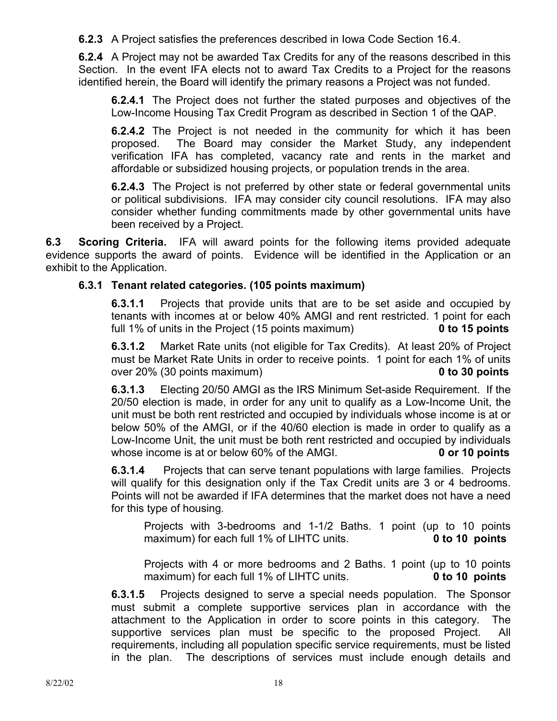**6.2.3** A Project satisfies the preferences described in Iowa Code Section 16.4.

**6.2.4** A Project may not be awarded Tax Credits for any of the reasons described in this Section. In the event IFA elects not to award Tax Credits to a Project for the reasons identified herein, the Board will identify the primary reasons a Project was not funded.

**6.2.4.1** The Project does not further the stated purposes and objectives of the Low-Income Housing Tax Credit Program as described in Section 1 of the QAP.

**6.2.4.2** The Project is not needed in the community for which it has been proposed. The Board may consider the Market Study, any independent verification IFA has completed, vacancy rate and rents in the market and affordable or subsidized housing projects, or population trends in the area.

**6.2.4.3** The Project is not preferred by other state or federal governmental units or political subdivisions. IFA may consider city council resolutions. IFA may also consider whether funding commitments made by other governmental units have been received by a Project.

**6.3 Scoring Criteria.** IFA will award points for the following items provided adequate evidence supports the award of points. Evidence will be identified in the Application or an exhibit to the Application.

## **6.3.1 Tenant related categories. (105 points maximum)**

**6.3.1.1** Projects that provide units that are to be set aside and occupied by tenants with incomes at or below 40% AMGI and rent restricted. 1 point for each full 1% of units in the Project (15 points maximum) **0 to 15 points** 

**6.3.1.2** Market Rate units (not eligible for Tax Credits). At least 20% of Project must be Market Rate Units in order to receive points. 1 point for each 1% of units over 20% (30 points maximum) **0 to 30 points** 

**6.3.1.3** Electing 20/50 AMGI as the IRS Minimum Set-aside Requirement. If the 20/50 election is made, in order for any unit to qualify as a Low-Income Unit, the unit must be both rent restricted and occupied by individuals whose income is at or below 50% of the AMGI, or if the 40/60 election is made in order to qualify as a Low-Income Unit, the unit must be both rent restricted and occupied by individuals whose income is at or below 60% of the AMGI. **0 or 10 points** 

**6.3.1.4** Projects that can serve tenant populations with large families. Projects will qualify for this designation only if the Tax Credit units are 3 or 4 bedrooms. Points will not be awarded if IFA determines that the market does not have a need for this type of housing.

 Projects with 3-bedrooms and 1-1/2 Baths. 1 point (up to 10 points maximum) for each full 1% of LIHTC units. **0 to 10 points** 

 Projects with 4 or more bedrooms and 2 Baths. 1 point (up to 10 points maximum) for each full 1% of LIHTC units. **0 to 10 points** 

**6.3.1.5** Projects designed to serve a special needs population. The Sponsor must submit a complete supportive services plan in accordance with the attachment to the Application in order to score points in this category. The supportive services plan must be specific to the proposed Project. All requirements, including all population specific service requirements, must be listed in the plan. The descriptions of services must include enough details and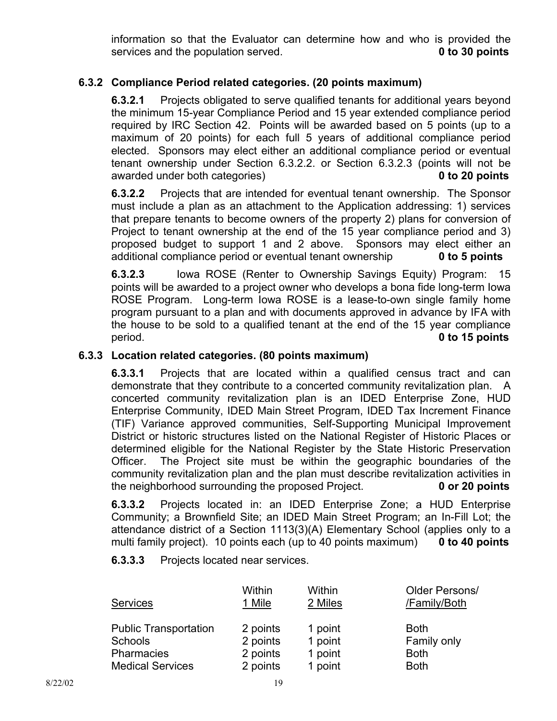information so that the Evaluator can determine how and who is provided the services and the population served. **0 to 30 points**

## **6.3.2 Compliance Period related categories. (20 points maximum)**

 **6.3.2.1** Projects obligated to serve qualified tenants for additional years beyond the minimum 15-year Compliance Period and 15 year extended compliance period required by IRC Section 42. Points will be awarded based on 5 points (up to a maximum of 20 points) for each full 5 years of additional compliance period elected. Sponsors may elect either an additional compliance period or eventual tenant ownership under Section 6.3.2.2. or Section 6.3.2.3 (points will not be awarded under both categories) **0 to 20 points**

**6.3.2.2** Projects that are intended for eventual tenant ownership. The Sponsor must include a plan as an attachment to the Application addressing: 1) services that prepare tenants to become owners of the property 2) plans for conversion of Project to tenant ownership at the end of the 15 year compliance period and 3) proposed budget to support 1 and 2 above. Sponsors may elect either an additional compliance period or eventual tenant ownership **0 to 5 points** 

**6.3.2.3** Iowa ROSE (Renter to Ownership Savings Equity) Program: 15 points will be awarded to a project owner who develops a bona fide long-term Iowa ROSE Program. Long-term Iowa ROSE is a lease-to-own single family home program pursuant to a plan and with documents approved in advance by IFA with the house to be sold to a qualified tenant at the end of the 15 year compliance period. **0 to 15 points** 

## **6.3.3 Location related categories. (80 points maximum)**

**6.3.3.1** Projects that are located within a qualified census tract and can demonstrate that they contribute to a concerted community revitalization plan. A concerted community revitalization plan is an IDED Enterprise Zone, HUD Enterprise Community, IDED Main Street Program, IDED Tax Increment Finance (TIF) Variance approved communities, Self-Supporting Municipal Improvement District or historic structures listed on the National Register of Historic Places or determined eligible for the National Register by the State Historic Preservation Officer. The Project site must be within the geographic boundaries of the community revitalization plan and the plan must describe revitalization activities in the neighborhood surrounding the proposed Project. **0 or 20 points** 

**6.3.3.2** Projects located in: an IDED Enterprise Zone; a HUD Enterprise Community; a Brownfield Site; an IDED Main Street Program; an In-Fill Lot; the attendance district of a Section 1113(3)(A) Elementary School (applies only to a multi family project). 10 points each (up to 40 points maximum) **0 to 40 points**

**6.3.3.3** Projects located near services.

| <b>Services</b>                                              | Within<br>1 Mile                 | Within<br>2 Miles             | Older Persons/<br>/Family/Both            |
|--------------------------------------------------------------|----------------------------------|-------------------------------|-------------------------------------------|
| <b>Public Transportation</b><br><b>Schools</b><br>Pharmacies | 2 points<br>2 points<br>2 points | 1 point<br>1 point<br>1 point | <b>Both</b><br>Family only<br><b>Both</b> |
| <b>Medical Services</b>                                      | 2 points                         | 1 point                       | <b>Both</b>                               |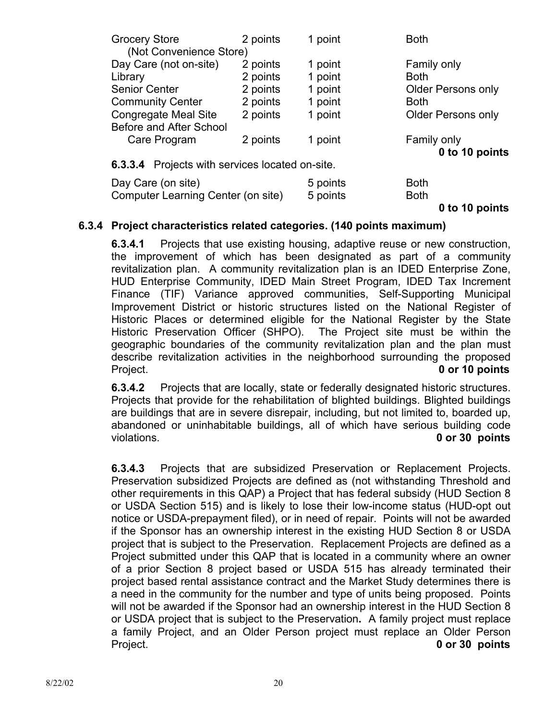| <b>Grocery Store</b>                                   | 2 points                           | 1 point  | <b>Both</b>               |  |  |  |  |
|--------------------------------------------------------|------------------------------------|----------|---------------------------|--|--|--|--|
|                                                        | (Not Convenience Store)            |          |                           |  |  |  |  |
| Day Care (not on-site)                                 | 2 points                           | 1 point  | Family only               |  |  |  |  |
| Library                                                | 2 points                           | 1 point  | <b>Both</b>               |  |  |  |  |
| <b>Senior Center</b>                                   | 2 points                           | 1 point  | <b>Older Persons only</b> |  |  |  |  |
| <b>Community Center</b>                                | 2 points                           | 1 point  | <b>Both</b>               |  |  |  |  |
| <b>Congregate Meal Site</b>                            | 2 points                           | 1 point  | <b>Older Persons only</b> |  |  |  |  |
| <b>Before and After School</b>                         |                                    |          |                           |  |  |  |  |
| Care Program                                           | 2 points                           | 1 point  | Family only               |  |  |  |  |
|                                                        |                                    |          | 0 to 10 points            |  |  |  |  |
| <b>6.3.3.4</b> Projects with services located on-site. |                                    |          |                           |  |  |  |  |
| Day Care (on site)                                     |                                    | 5 points | <b>Both</b>               |  |  |  |  |
|                                                        | Computer Learning Center (on site) |          | <b>Both</b>               |  |  |  |  |

#### **0 to 10 points**

### **6.3.4 Project characteristics related categories. (140 points maximum)**

**6.3.4.1** Projects that use existing housing, adaptive reuse or new construction, the improvement of which has been designated as part of a community revitalization plan. A community revitalization plan is an IDED Enterprise Zone, HUD Enterprise Community, IDED Main Street Program, IDED Tax Increment Finance (TIF) Variance approved communities, Self-Supporting Municipal Improvement District or historic structures listed on the National Register of Historic Places or determined eligible for the National Register by the State Historic Preservation Officer (SHPO). The Project site must be within the geographic boundaries of the community revitalization plan and the plan must describe revitalization activities in the neighborhood surrounding the proposed Project. **0 or 10 points**

**6.3.4.2** Projects that are locally, state or federally designated historic structures. Projects that provide for the rehabilitation of blighted buildings. Blighted buildings are buildings that are in severe disrepair, including, but not limited to, boarded up, abandoned or uninhabitable buildings, all of which have serious building code violations. **0 or 30 points** 

**6.3.4.3** Projects that are subsidized Preservation or Replacement Projects. Preservation subsidized Projects are defined as (not withstanding Threshold and other requirements in this QAP) a Project that has federal subsidy (HUD Section 8 or USDA Section 515) and is likely to lose their low-income status (HUD-opt out notice or USDA-prepayment filed), or in need of repair. Points will not be awarded if the Sponsor has an ownership interest in the existing HUD Section 8 or USDA project that is subject to the Preservation. Replacement Projects are defined as a Project submitted under this QAP that is located in a community where an owner of a prior Section 8 project based or USDA 515 has already terminated their project based rental assistance contract and the Market Study determines there is a need in the community for the number and type of units being proposed. Points will not be awarded if the Sponsor had an ownership interest in the HUD Section 8 or USDA project that is subject to the Preservation**.** A family project must replace a family Project, and an Older Person project must replace an Older Person Project. **0 or 30 points**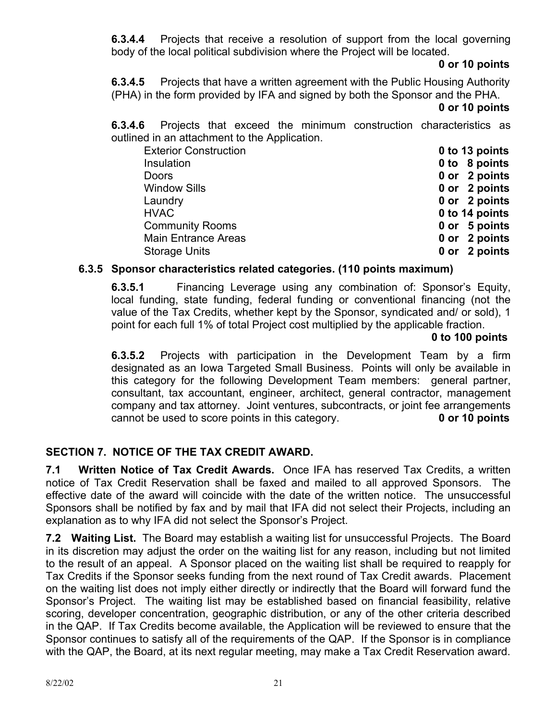**6.3.4.4** Projects that receive a resolution of support from the local governing body of the local political subdivision where the Project will be located.

### **0 or 10 points**

**6.3.4.5** Projects that have a written agreement with the Public Housing Authority (PHA) in the form provided by IFA and signed by both the Sponsor and the PHA.

#### **0 or 10 points**

**6.3.4.6** Projects that exceed the minimum construction characteristics as outlined in an attachment to the Application.

| <b>Exterior Construction</b> | 0 to 13 points |
|------------------------------|----------------|
| Insulation                   | 0 to 8 points  |
| <b>Doors</b>                 | 0 or 2 points  |
| <b>Window Sills</b>          | 0 or 2 points  |
| Laundry                      | 0 or 2 points  |
| <b>HVAC</b>                  | 0 to 14 points |
| <b>Community Rooms</b>       | 0 or 5 points  |
| <b>Main Entrance Areas</b>   | 0 or 2 points  |
| <b>Storage Units</b>         | 0 or 2 points  |

## **6.3.5 Sponsor characteristics related categories. (110 points maximum)**

**6.3.5.1** Financing Leverage using any combination of: Sponsor's Equity, local funding, state funding, federal funding or conventional financing (not the value of the Tax Credits, whether kept by the Sponsor, syndicated and/ or sold), 1 point for each full 1% of total Project cost multiplied by the applicable fraction.

### **0 to 100 points**

**6.3.5.2** Projects with participation in the Development Team by a firm designated as an Iowa Targeted Small Business. Points will only be available in this category for the following Development Team members: general partner, consultant, tax accountant, engineer, architect, general contractor, management company and tax attorney. Joint ventures, subcontracts, or joint fee arrangements cannot be used to score points in this category. **0 or 10 points** 

## **SECTION 7. NOTICE OF THE TAX CREDIT AWARD.**

**7.1 Written Notice of Tax Credit Awards.** Once IFA has reserved Tax Credits, a written notice of Tax Credit Reservation shall be faxed and mailed to all approved Sponsors. The effective date of the award will coincide with the date of the written notice. The unsuccessful Sponsors shall be notified by fax and by mail that IFA did not select their Projects, including an explanation as to why IFA did not select the Sponsor's Project.

**7.2 Waiting List.** The Board may establish a waiting list for unsuccessful Projects. The Board in its discretion may adjust the order on the waiting list for any reason, including but not limited to the result of an appeal. A Sponsor placed on the waiting list shall be required to reapply for Tax Credits if the Sponsor seeks funding from the next round of Tax Credit awards. Placement on the waiting list does not imply either directly or indirectly that the Board will forward fund the Sponsor's Project. The waiting list may be established based on financial feasibility, relative scoring, developer concentration, geographic distribution, or any of the other criteria described in the QAP. If Tax Credits become available, the Application will be reviewed to ensure that the Sponsor continues to satisfy all of the requirements of the QAP. If the Sponsor is in compliance with the QAP, the Board, at its next regular meeting, may make a Tax Credit Reservation award.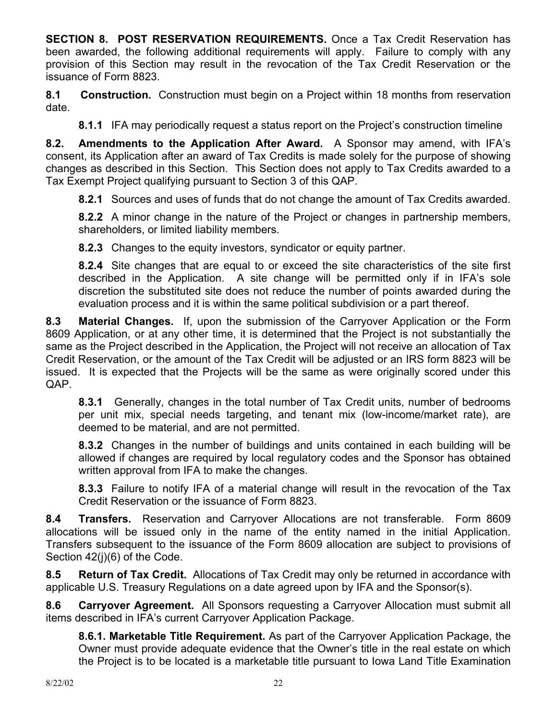**SECTION 8. POST RESERVATION REQUIREMENTS.** Once a Tax Credit Reservation has been awarded, the following additional requirements will apply. Failure to comply with any provision of this Section may result in the revocation of the Tax Credit Reservation or the issuance of Form 8823.

**8.1 Construction.** Construction must begin on a Project within 18 months from reservation date.

**8.1.1** IFA may periodically request a status report on the Project's construction timeline

**8.2. Amendments to the Application After Award.** A Sponsor may amend, with IFA's consent, its Application after an award of Tax Credits is made solely for the purpose of showing changes as described in this Section. This Section does not apply to Tax Credits awarded to a Tax Exempt Project qualifying pursuant to Section 3 of this QAP.

**8.2.1** Sources and uses of funds that do not change the amount of Tax Credits awarded.

**8.2.2** A minor change in the nature of the Project or changes in partnership members, shareholders, or limited liability members.

**8.2.3** Changes to the equity investors, syndicator or equity partner.

**8.2.4** Site changes that are equal to or exceed the site characteristics of the site first described in the Application. A site change will be permitted only if in IFA's sole discretion the substituted site does not reduce the number of points awarded during the evaluation process and it is within the same political subdivision or a part thereof.

**8.3 Material Changes.** If, upon the submission of the Carryover Application or the Form 8609 Application, or at any other time, it is determined that the Project is not substantially the same as the Project described in the Application, the Project will not receive an allocation of Tax Credit Reservation, or the amount of the Tax Credit will be adjusted or an IRS form 8823 will be issued. It is expected that the Projects will be the same as were originally scored under this QAP.

**8.3.1** Generally, changes in the total number of Tax Credit units, number of bedrooms per unit mix, special needs targeting, and tenant mix (low-income/market rate), are deemed to be material, and are not permitted.

**8.3.2** Changes in the number of buildings and units contained in each building will be allowed if changes are required by local regulatory codes and the Sponsor has obtained written approval from IFA to make the changes.

**8.3.3** Failure to notify IFA of a material change will result in the revocation of the Tax Credit Reservation or the issuance of Form 8823.

**8.4 Transfers.** Reservation and Carryover Allocations are not transferable. Form 8609 allocations will be issued only in the name of the entity named in the initial Application. Transfers subsequent to the issuance of the Form 8609 allocation are subject to provisions of Section 42(j)(6) of the Code.

**8.5 Return of Tax Credit.** Allocations of Tax Credit may only be returned in accordance with applicable U.S. Treasury Regulations on a date agreed upon by IFA and the Sponsor(s).

**8.6 Carryover Agreement.** All Sponsors requesting a Carryover Allocation must submit all items described in IFA's current Carryover Application Package.

**8.6.1. Marketable Title Requirement.** As part of the Carryover Application Package, the Owner must provide adequate evidence that the Owner's title in the real estate on which the Project is to be located is a marketable title pursuant to Iowa Land Title Examination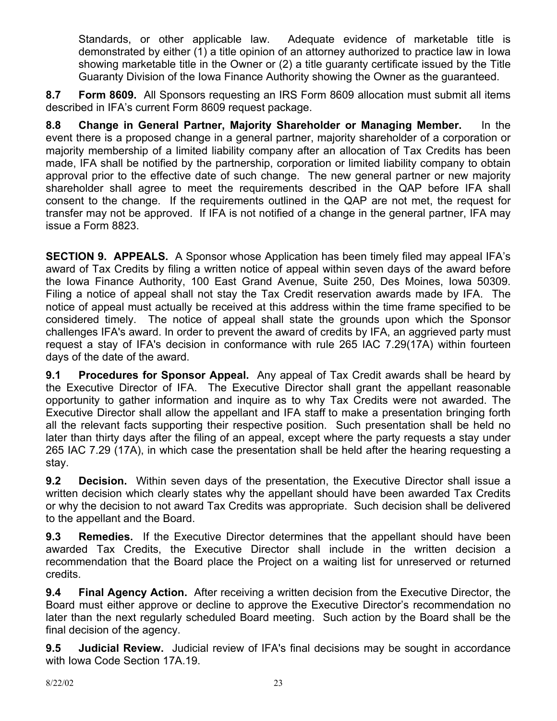Standards, or other applicable law. Adequate evidence of marketable title is demonstrated by either (1) a title opinion of an attorney authorized to practice law in Iowa showing marketable title in the Owner or (2) a title guaranty certificate issued by the Title Guaranty Division of the Iowa Finance Authority showing the Owner as the guaranteed.

**8.7 Form 8609.** All Sponsors requesting an IRS Form 8609 allocation must submit all items described in IFA's current Form 8609 request package.

**8.8 Change in General Partner, Majority Shareholder or Managing Member.** In the event there is a proposed change in a general partner, majority shareholder of a corporation or majority membership of a limited liability company after an allocation of Tax Credits has been made, IFA shall be notified by the partnership, corporation or limited liability company to obtain approval prior to the effective date of such change. The new general partner or new majority shareholder shall agree to meet the requirements described in the QAP before IFA shall consent to the change. If the requirements outlined in the QAP are not met, the request for transfer may not be approved. If IFA is not notified of a change in the general partner, IFA may issue a Form 8823.

**SECTION 9. APPEALS.** A Sponsor whose Application has been timely filed may appeal IFA's award of Tax Credits by filing a written notice of appeal within seven days of the award before the Iowa Finance Authority, 100 East Grand Avenue, Suite 250, Des Moines, Iowa 50309. Filing a notice of appeal shall not stay the Tax Credit reservation awards made by IFA. The notice of appeal must actually be received at this address within the time frame specified to be considered timely. The notice of appeal shall state the grounds upon which the Sponsor challenges IFA's award. In order to prevent the award of credits by IFA, an aggrieved party must request a stay of IFA's decision in conformance with rule 265 IAC 7.29(17A) within fourteen days of the date of the award.

**9.1 Procedures for Sponsor Appeal.** Any appeal of Tax Credit awards shall be heard by the Executive Director of IFA. The Executive Director shall grant the appellant reasonable opportunity to gather information and inquire as to why Tax Credits were not awarded. The Executive Director shall allow the appellant and IFA staff to make a presentation bringing forth all the relevant facts supporting their respective position. Such presentation shall be held no later than thirty days after the filing of an appeal, except where the party requests a stay under 265 IAC 7.29 (17A), in which case the presentation shall be held after the hearing requesting a stay.

**9.2 Decision.** Within seven days of the presentation, the Executive Director shall issue a written decision which clearly states why the appellant should have been awarded Tax Credits or why the decision to not award Tax Credits was appropriate. Such decision shall be delivered to the appellant and the Board.

**9.3 Remedies.** If the Executive Director determines that the appellant should have been awarded Tax Credits, the Executive Director shall include in the written decision a recommendation that the Board place the Project on a waiting list for unreserved or returned credits.

**9.4 Final Agency Action.** After receiving a written decision from the Executive Director, the Board must either approve or decline to approve the Executive Director's recommendation no later than the next regularly scheduled Board meeting. Such action by the Board shall be the final decision of the agency.

**9.5 Judicial Review.** Judicial review of IFA's final decisions may be sought in accordance with Iowa Code Section 17A.19.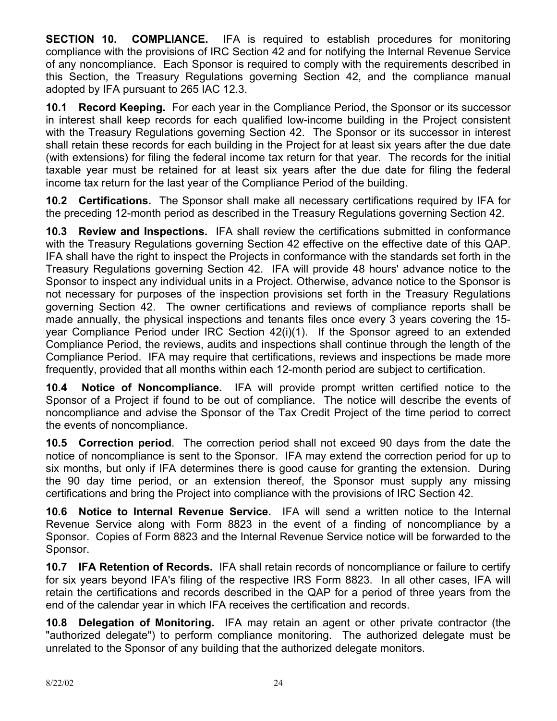**SECTION 10. COMPLIANCE.** IFA is required to establish procedures for monitoring compliance with the provisions of IRC Section 42 and for notifying the Internal Revenue Service of any noncompliance. Each Sponsor is required to comply with the requirements described in this Section, the Treasury Regulations governing Section 42, and the compliance manual adopted by IFA pursuant to 265 IAC 12.3.

**10.1 Record Keeping.** For each year in the Compliance Period, the Sponsor or its successor in interest shall keep records for each qualified low-income building in the Project consistent with the Treasury Regulations governing Section 42. The Sponsor or its successor in interest shall retain these records for each building in the Project for at least six years after the due date (with extensions) for filing the federal income tax return for that year. The records for the initial taxable year must be retained for at least six years after the due date for filing the federal income tax return for the last year of the Compliance Period of the building.

**10.2 Certifications.** The Sponsor shall make all necessary certifications required by IFA for the preceding 12-month period as described in the Treasury Regulations governing Section 42.

**10.3 Review and Inspections.** IFA shall review the certifications submitted in conformance with the Treasury Regulations governing Section 42 effective on the effective date of this QAP. IFA shall have the right to inspect the Projects in conformance with the standards set forth in the Treasury Regulations governing Section 42. IFA will provide 48 hours' advance notice to the Sponsor to inspect any individual units in a Project. Otherwise, advance notice to the Sponsor is not necessary for purposes of the inspection provisions set forth in the Treasury Regulations governing Section 42. The owner certifications and reviews of compliance reports shall be made annually, the physical inspections and tenants files once every 3 years covering the 15 year Compliance Period under IRC Section 42(i)(1). If the Sponsor agreed to an extended Compliance Period, the reviews, audits and inspections shall continue through the length of the Compliance Period. IFA may require that certifications, reviews and inspections be made more frequently, provided that all months within each 12-month period are subject to certification.

**10.4 Notice of Noncompliance.** IFA will provide prompt written certified notice to the Sponsor of a Project if found to be out of compliance. The notice will describe the events of noncompliance and advise the Sponsor of the Tax Credit Project of the time period to correct the events of noncompliance.

**10.5 Correction period**. The correction period shall not exceed 90 days from the date the notice of noncompliance is sent to the Sponsor. IFA may extend the correction period for up to six months, but only if IFA determines there is good cause for granting the extension. During the 90 day time period, or an extension thereof, the Sponsor must supply any missing certifications and bring the Project into compliance with the provisions of IRC Section 42.

**10.6 Notice to Internal Revenue Service.** IFA will send a written notice to the Internal Revenue Service along with Form 8823 in the event of a finding of noncompliance by a Sponsor. Copies of Form 8823 and the Internal Revenue Service notice will be forwarded to the Sponsor.

**10.7 IFA Retention of Records.** IFA shall retain records of noncompliance or failure to certify for six years beyond IFA's filing of the respective IRS Form 8823. In all other cases, IFA will retain the certifications and records described in the QAP for a period of three years from the end of the calendar year in which IFA receives the certification and records.

**10.8 Delegation of Monitoring.** IFA may retain an agent or other private contractor (the "authorized delegate") to perform compliance monitoring. The authorized delegate must be unrelated to the Sponsor of any building that the authorized delegate monitors.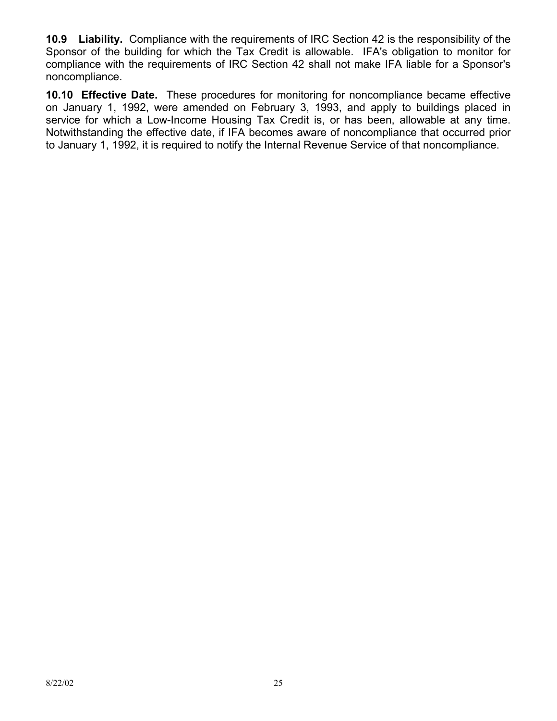**10.9 Liability.** Compliance with the requirements of IRC Section 42 is the responsibility of the Sponsor of the building for which the Tax Credit is allowable. IFA's obligation to monitor for compliance with the requirements of IRC Section 42 shall not make IFA liable for a Sponsor's noncompliance.

**10.10 Effective Date.** These procedures for monitoring for noncompliance became effective on January 1, 1992, were amended on February 3, 1993, and apply to buildings placed in service for which a Low-Income Housing Tax Credit is, or has been, allowable at any time. Notwithstanding the effective date, if IFA becomes aware of noncompliance that occurred prior to January 1, 1992, it is required to notify the Internal Revenue Service of that noncompliance.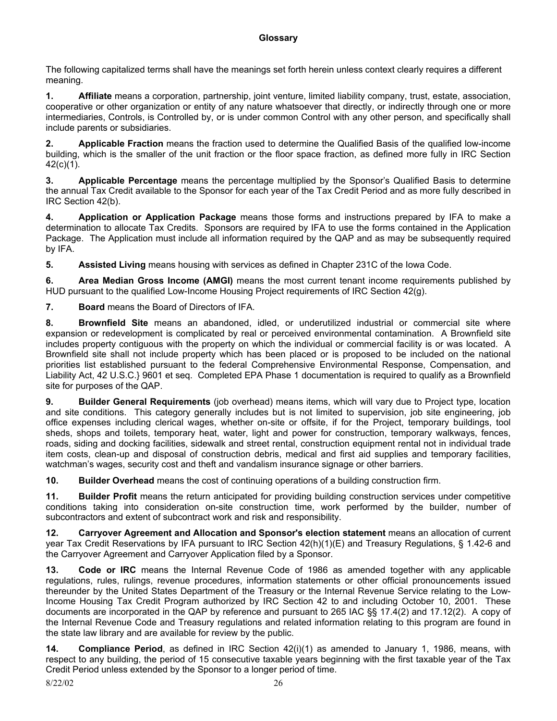The following capitalized terms shall have the meanings set forth herein unless context clearly requires a different meaning.

**1. Affiliate** means a corporation, partnership, joint venture, limited liability company, trust, estate, association, cooperative or other organization or entity of any nature whatsoever that directly, or indirectly through one or more intermediaries, Controls, is Controlled by, or is under common Control with any other person, and specifically shall include parents or subsidiaries.

**2. Applicable Fraction** means the fraction used to determine the Qualified Basis of the qualified low-income building, which is the smaller of the unit fraction or the floor space fraction, as defined more fully in IRC Section 42(c)(1).

**3. Applicable Percentage** means the percentage multiplied by the Sponsor's Qualified Basis to determine the annual Tax Credit available to the Sponsor for each year of the Tax Credit Period and as more fully described in IRC Section 42(b).

**4. Application or Application Package** means those forms and instructions prepared by IFA to make a determination to allocate Tax Credits. Sponsors are required by IFA to use the forms contained in the Application Package. The Application must include all information required by the QAP and as may be subsequently required by IFA.

**5. Assisted Living** means housing with services as defined in Chapter 231C of the Iowa Code.

**6. Area Median Gross Income (AMGI)** means the most current tenant income requirements published by HUD pursuant to the qualified Low-Income Housing Project requirements of IRC Section 42(g).

**7. Board** means the Board of Directors of IFA.

**8. Brownfield Site** means an abandoned, idled, or underutilized industrial or commercial site where expansion or redevelopment is complicated by real or perceived environmental contamination. A Brownfield site includes property contiguous with the property on which the individual or commercial facility is or was located. A Brownfield site shall not include property which has been placed or is proposed to be included on the national priorities list established pursuant to the federal Comprehensive Environmental Response, Compensation, and Liability Act, 42 U.S.C.} 9601 et seq. Completed EPA Phase 1 documentation is required to qualify as a Brownfield site for purposes of the QAP.

**9. Builder General Requirements** (job overhead) means items, which will vary due to Project type, location and site conditions. This category generally includes but is not limited to supervision, job site engineering, job office expenses including clerical wages, whether on-site or offsite, if for the Project, temporary buildings, tool sheds, shops and toilets, temporary heat, water, light and power for construction, temporary walkways, fences, roads, siding and docking facilities, sidewalk and street rental, construction equipment rental not in individual trade item costs, clean-up and disposal of construction debris, medical and first aid supplies and temporary facilities, watchman's wages, security cost and theft and vandalism insurance signage or other barriers.

**10. Builder Overhead** means the cost of continuing operations of a building construction firm.

**11. Builder Profit** means the return anticipated for providing building construction services under competitive conditions taking into consideration on-site construction time, work performed by the builder, number of subcontractors and extent of subcontract work and risk and responsibility.

**12. Carryover Agreement and Allocation and Sponsor's election statement** means an allocation of current year Tax Credit Reservations by IFA pursuant to IRC Section 42(h)(1)(E) and Treasury Regulations, § 1.42-6 and the Carryover Agreement and Carryover Application filed by a Sponsor.

**13. Code or IRC** means the Internal Revenue Code of 1986 as amended together with any applicable regulations, rules, rulings, revenue procedures, information statements or other official pronouncements issued thereunder by the United States Department of the Treasury or the Internal Revenue Service relating to the Low-Income Housing Tax Credit Program authorized by IRC Section 42 to and including October 10, 2001. These documents are incorporated in the QAP by reference and pursuant to 265 IAC §§ 17.4(2) and 17.12(2). A copy of the Internal Revenue Code and Treasury regulations and related information relating to this program are found in the state law library and are available for review by the public.

**14. Compliance Period**, as defined in IRC Section 42(i)(1) as amended to January 1, 1986, means, with respect to any building, the period of 15 consecutive taxable years beginning with the first taxable year of the Tax Credit Period unless extended by the Sponsor to a longer period of time.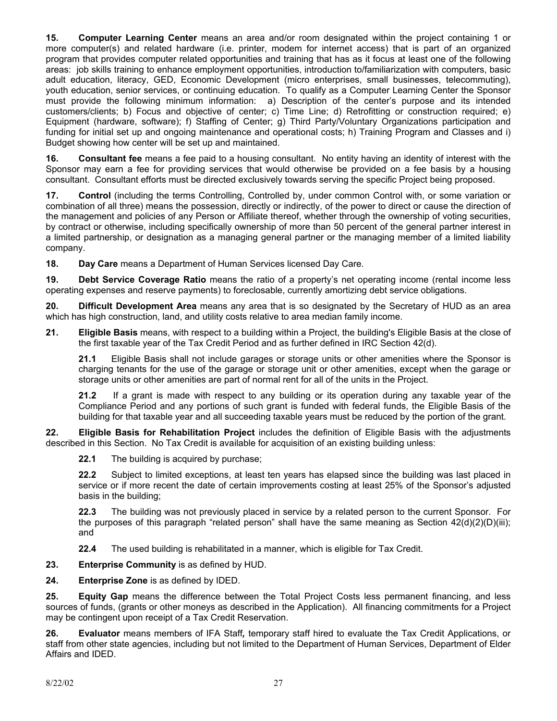**15. Computer Learning Center** means an area and/or room designated within the project containing 1 or more computer(s) and related hardware (i.e. printer, modem for internet access) that is part of an organized program that provides computer related opportunities and training that has as it focus at least one of the following areas: job skills training to enhance employment opportunities, introduction to/familiarization with computers, basic adult education, literacy, GED, Economic Development (micro enterprises, small businesses, telecommuting), youth education, senior services, or continuing education. To qualify as a Computer Learning Center the Sponsor must provide the following minimum information: a) Description of the center's purpose and its intended customers/clients; b) Focus and objective of center; c) Time Line; d) Retrofitting or construction required; e) Equipment (hardware, software); f) Staffing of Center; g) Third Party/Voluntary Organizations participation and funding for initial set up and ongoing maintenance and operational costs; h) Training Program and Classes and i) Budget showing how center will be set up and maintained.

**16. Consultant fee** means a fee paid to a housing consultant. No entity having an identity of interest with the Sponsor may earn a fee for providing services that would otherwise be provided on a fee basis by a housing consultant. Consultant efforts must be directed exclusively towards serving the specific Project being proposed.

**17. Control** (including the terms Controlling, Controlled by, under common Control with, or some variation or combination of all three) means the possession, directly or indirectly, of the power to direct or cause the direction of the management and policies of any Person or Affiliate thereof, whether through the ownership of voting securities, by contract or otherwise, including specifically ownership of more than 50 percent of the general partner interest in a limited partnership, or designation as a managing general partner or the managing member of a limited liability company.

**18. Day Care** means a Department of Human Services licensed Day Care.

**19. Debt Service Coverage Ratio** means the ratio of a property's net operating income (rental income less operating expenses and reserve payments) to foreclosable, currently amortizing debt service obligations.

**20. Difficult Development Area** means any area that is so designated by the Secretary of HUD as an area which has high construction, land, and utility costs relative to area median family income.

**21. Eligible Basis** means, with respect to a building within a Project, the building's Eligible Basis at the close of the first taxable year of the Tax Credit Period and as further defined in IRC Section 42(d).

**21.1** Eligible Basis shall not include garages or storage units or other amenities where the Sponsor is charging tenants for the use of the garage or storage unit or other amenities, except when the garage or storage units or other amenities are part of normal rent for all of the units in the Project.

**21.2** If a grant is made with respect to any building or its operation during any taxable year of the Compliance Period and any portions of such grant is funded with federal funds, the Eligible Basis of the building for that taxable year and all succeeding taxable years must be reduced by the portion of the grant.

**22. Eligible Basis for Rehabilitation Project** includes the definition of Eligible Basis with the adjustments described in this Section. No Tax Credit is available for acquisition of an existing building unless:

**22.1** The building is acquired by purchase;

**22.2** Subject to limited exceptions, at least ten years has elapsed since the building was last placed in service or if more recent the date of certain improvements costing at least 25% of the Sponsor's adjusted basis in the building;

**22.3** The building was not previously placed in service by a related person to the current Sponsor. For the purposes of this paragraph "related person" shall have the same meaning as Section  $42(d)(2)(D)(iii)$ ; and

**22.4** The used building is rehabilitated in a manner, which is eligible for Tax Credit.

**23. Enterprise Community** is as defined by HUD.

**24. Enterprise Zone** is as defined by IDED.

**25. Equity Gap** means the difference between the Total Project Costs less permanent financing, and less sources of funds, (grants or other moneys as described in the Application). All financing commitments for a Project may be contingent upon receipt of a Tax Credit Reservation.

**26. Evaluator** means members of IFA Staff*,* temporary staff hired to evaluate the Tax Credit Applications, or staff from other state agencies, including but not limited to the Department of Human Services, Department of Elder Affairs and IDED.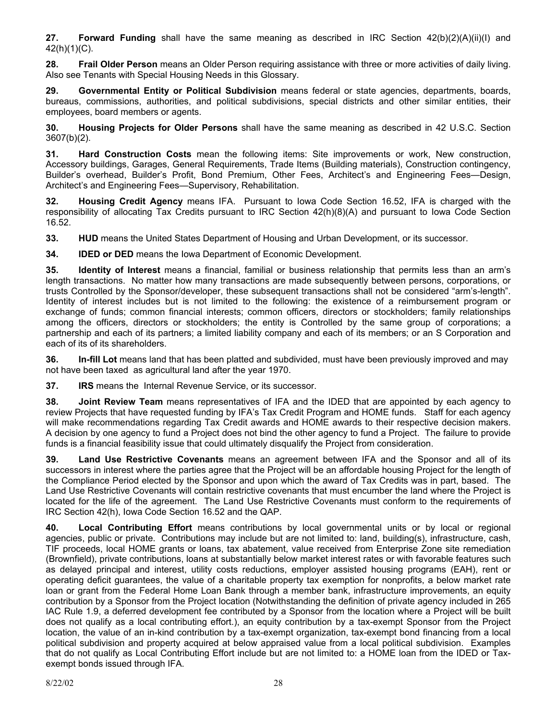**27. Forward Funding** shall have the same meaning as described in IRC Section 42(b)(2)(A)(ii)(I) and 42(h)(1)(C).

**28. Frail Older Person** means an Older Person requiring assistance with three or more activities of daily living. Also see Tenants with Special Housing Needs in this Glossary.

**29. Governmental Entity or Political Subdivision** means federal or state agencies, departments, boards, bureaus, commissions, authorities, and political subdivisions, special districts and other similar entities, their employees, board members or agents.

**30. Housing Projects for Older Persons** shall have the same meaning as described in 42 U.S.C. Section 3607(b)(2).

**31. Hard Construction Costs** mean the following items: Site improvements or work, New construction, Accessory buildings, Garages, General Requirements, Trade Items (Building materials), Construction contingency, Builder's overhead, Builder's Profit, Bond Premium, Other Fees, Architect's and Engineering Fees—Design, Architect's and Engineering Fees—Supervisory, Rehabilitation.

**32. Housing Credit Agency** means IFA. Pursuant to Iowa Code Section 16.52, IFA is charged with the responsibility of allocating Tax Credits pursuant to IRC Section 42(h)(8)(A) and pursuant to Iowa Code Section 16.52.

**33. HUD** means the United States Department of Housing and Urban Development, or its successor.

**34. IDED or DED** means the Iowa Department of Economic Development.

**35. Identity of Interest** means a financial, familial or business relationship that permits less than an arm's length transactions. No matter how many transactions are made subsequently between persons, corporations, or trusts Controlled by the Sponsor/developer, these subsequent transactions shall not be considered "arm's-length". Identity of interest includes but is not limited to the following: the existence of a reimbursement program or exchange of funds; common financial interests; common officers, directors or stockholders; family relationships among the officers, directors or stockholders; the entity is Controlled by the same group of corporations; a partnership and each of its partners; a limited liability company and each of its members; or an S Corporation and each of its of its shareholders.

**36. In-fill Lot** means land that has been platted and subdivided, must have been previously improved and may not have been taxed as agricultural land after the year 1970.

**37. IRS** means the Internal Revenue Service, or its successor.

**38. Joint Review Team** means representatives of IFA and the IDED that are appointed by each agency to review Projects that have requested funding by IFA's Tax Credit Program and HOME funds. Staff for each agency will make recommendations regarding Tax Credit awards and HOME awards to their respective decision makers. A decision by one agency to fund a Project does not bind the other agency to fund a Project. The failure to provide funds is a financial feasibility issue that could ultimately disqualify the Project from consideration.

**39. Land Use Restrictive Covenants** means an agreement between IFA and the Sponsor and all of its successors in interest where the parties agree that the Project will be an affordable housing Project for the length of the Compliance Period elected by the Sponsor and upon which the award of Tax Credits was in part, based. The Land Use Restrictive Covenants will contain restrictive covenants that must encumber the land where the Project is located for the life of the agreement. The Land Use Restrictive Covenants must conform to the requirements of IRC Section 42(h), Iowa Code Section 16.52 and the QAP.

**40. Local Contributing Effort** means contributions by local governmental units or by local or regional agencies, public or private. Contributions may include but are not limited to: land, building(s), infrastructure, cash, TIF proceeds, local HOME grants or loans, tax abatement, value received from Enterprise Zone site remediation (Brownfield), private contributions, loans at substantially below market interest rates or with favorable features such as delayed principal and interest, utility costs reductions, employer assisted housing programs (EAH), rent or operating deficit guarantees, the value of a charitable property tax exemption for nonprofits, a below market rate loan or grant from the Federal Home Loan Bank through a member bank, infrastructure improvements, an equity contribution by a Sponsor from the Project location (Notwithstanding the definition of private agency included in 265 IAC Rule 1.9, a deferred development fee contributed by a Sponsor from the location where a Project will be built does not qualify as a local contributing effort.), an equity contribution by a tax-exempt Sponsor from the Project location, the value of an in-kind contribution by a tax-exempt organization, tax-exempt bond financing from a local political subdivision and property acquired at below appraised value from a local political subdivision. Examples that do not qualify as Local Contributing Effort include but are not limited to: a HOME loan from the IDED or Taxexempt bonds issued through IFA.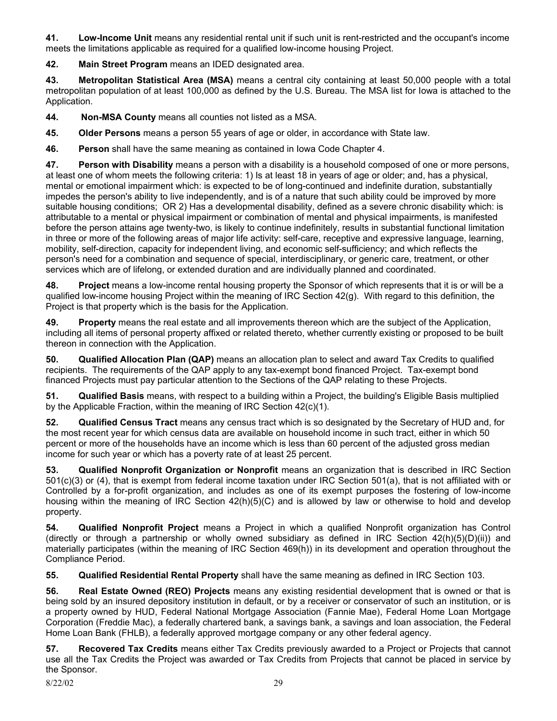**41. Low-Income Unit** means any residential rental unit if such unit is rent-restricted and the occupant's income meets the limitations applicable as required for a qualified low-income housing Project.

**42. Main Street Program** means an IDED designated area.

**43. Metropolitan Statistical Area (MSA)** means a central city containing at least 50,000 people with a total metropolitan population of at least 100,000 as defined by the U.S. Bureau. The MSA list for Iowa is attached to the Application.

- **44. Non-MSA County** means all counties not listed as a MSA.
- **45. Older Persons** means a person 55 years of age or older, in accordance with State law.
- **46. Person** shall have the same meaning as contained in Iowa Code Chapter 4.

**47. Person with Disability** means a person with a disability is a household composed of one or more persons, at least one of whom meets the following criteria: 1) Is at least 18 in years of age or older; and, has a physical, mental or emotional impairment which: is expected to be of long-continued and indefinite duration, substantially impedes the person's ability to live independently, and is of a nature that such ability could be improved by more suitable housing conditions; OR 2) Has a developmental disability, defined as a severe chronic disability which: is attributable to a mental or physical impairment or combination of mental and physical impairments, is manifested before the person attains age twenty-two, is likely to continue indefinitely, results in substantial functional limitation in three or more of the following areas of major life activity: self-care, receptive and expressive language, learning, mobility, self-direction, capacity for independent living, and economic self-sufficiency; and which reflects the person's need for a combination and sequence of special, interdisciplinary, or generic care, treatment, or other services which are of lifelong, or extended duration and are individually planned and coordinated.

**48. Project** means a low-income rental housing property the Sponsor of which represents that it is or will be a qualified low-income housing Project within the meaning of IRC Section 42(g). With regard to this definition, the Project is that property which is the basis for the Application.

**49. Property** means the real estate and all improvements thereon which are the subject of the Application, including all items of personal property affixed or related thereto, whether currently existing or proposed to be built thereon in connection with the Application.

**50. Qualified Allocation Plan (QAP)** means an allocation plan to select and award Tax Credits to qualified recipients. The requirements of the QAP apply to any tax-exempt bond financed Project. Tax-exempt bond financed Projects must pay particular attention to the Sections of the QAP relating to these Projects.

**51. Qualified Basis** means, with respect to a building within a Project, the building's Eligible Basis multiplied by the Applicable Fraction, within the meaning of IRC Section 42(c)(1).

**52. Qualified Census Tract** means any census tract which is so designated by the Secretary of HUD and, for the most recent year for which census data are available on household income in such tract, either in which 50 percent or more of the households have an income which is less than 60 percent of the adjusted gross median income for such year or which has a poverty rate of at least 25 percent.

**53. Qualified Nonprofit Organization or Nonprofit** means an organization that is described in IRC Section 501(c)(3) or (4), that is exempt from federal income taxation under IRC Section 501(a), that is not affiliated with or Controlled by a for-profit organization, and includes as one of its exempt purposes the fostering of low-income housing within the meaning of IRC Section 42(h)(5)(C) and is allowed by law or otherwise to hold and develop property.

**54. Qualified Nonprofit Project** means a Project in which a qualified Nonprofit organization has Control (directly or through a partnership or wholly owned subsidiary as defined in IRC Section  $42(h)(5)(D)(ii)$ ) and materially participates (within the meaning of IRC Section 469(h)) in its development and operation throughout the Compliance Period.

**55. Qualified Residential Rental Property** shall have the same meaning as defined in IRC Section 103.

**56. Real Estate Owned (REO) Projects** means any existing residential development that is owned or that is being sold by an insured depository institution in default, or by a receiver or conservator of such an institution, or is a property owned by HUD, Federal National Mortgage Association (Fannie Mae), Federal Home Loan Mortgage Corporation (Freddie Mac), a federally chartered bank, a savings bank, a savings and loan association, the Federal Home Loan Bank (FHLB), a federally approved mortgage company or any other federal agency.

**57. Recovered Tax Credits** means either Tax Credits previously awarded to a Project or Projects that cannot use all the Tax Credits the Project was awarded or Tax Credits from Projects that cannot be placed in service by the Sponsor.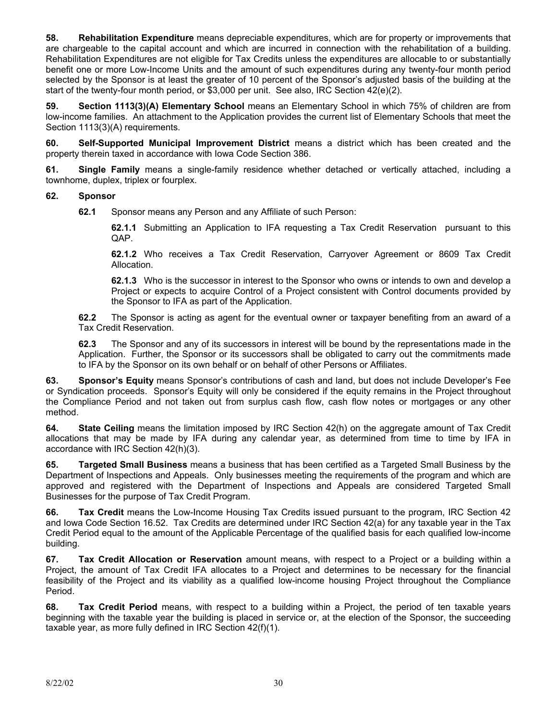**58. Rehabilitation Expenditure** means depreciable expenditures, which are for property or improvements that are chargeable to the capital account and which are incurred in connection with the rehabilitation of a building. Rehabilitation Expenditures are not eligible for Tax Credits unless the expenditures are allocable to or substantially benefit one or more Low-Income Units and the amount of such expenditures during any twenty-four month period selected by the Sponsor is at least the greater of 10 percent of the Sponsor's adjusted basis of the building at the start of the twenty-four month period, or \$3,000 per unit. See also, IRC Section 42(e)(2).

**59. Section 1113(3)(A) Elementary School** means an Elementary School in which 75% of children are from low-income families. An attachment to the Application provides the current list of Elementary Schools that meet the Section 1113(3)(A) requirements.

**60. Self-Supported Municipal Improvement District** means a district which has been created and the property therein taxed in accordance with Iowa Code Section 386.

**61. Single Family** means a single-family residence whether detached or vertically attached, including a townhome, duplex, triplex or fourplex.

#### **62. Sponsor**

**62.1** Sponsor means any Person and any Affiliate of such Person:

**62.1.1** Submitting an Application to IFA requesting a Tax Credit Reservation pursuant to this QAP.

**62.1.2** Who receives a Tax Credit Reservation, Carryover Agreement or 8609 Tax Credit Allocation.

**62.1.3** Who is the successor in interest to the Sponsor who owns or intends to own and develop a Project or expects to acquire Control of a Project consistent with Control documents provided by the Sponsor to IFA as part of the Application.

**62.2** The Sponsor is acting as agent for the eventual owner or taxpayer benefiting from an award of a Tax Credit Reservation.

**62.3** The Sponsor and any of its successors in interest will be bound by the representations made in the Application. Further, the Sponsor or its successors shall be obligated to carry out the commitments made to IFA by the Sponsor on its own behalf or on behalf of other Persons or Affiliates.

**63. Sponsor's Equity** means Sponsor's contributions of cash and land, but does not include Developer's Fee or Syndication proceeds. Sponsor's Equity will only be considered if the equity remains in the Project throughout the Compliance Period and not taken out from surplus cash flow, cash flow notes or mortgages or any other method.

**64. State Ceiling** means the limitation imposed by IRC Section 42(h) on the aggregate amount of Tax Credit allocations that may be made by IFA during any calendar year, as determined from time to time by IFA in accordance with IRC Section 42(h)(3).

**65. Targeted Small Business** means a business that has been certified as a Targeted Small Business by the Department of Inspections and Appeals. Only businesses meeting the requirements of the program and which are approved and registered with the Department of Inspections and Appeals are considered Targeted Small Businesses for the purpose of Tax Credit Program.

**66. Tax Credit** means the Low-Income Housing Tax Credits issued pursuant to the program, IRC Section 42 and Iowa Code Section 16.52. Tax Credits are determined under IRC Section 42(a) for any taxable year in the Tax Credit Period equal to the amount of the Applicable Percentage of the qualified basis for each qualified low-income building.

**67. Tax Credit Allocation or Reservation** amount means, with respect to a Project or a building within a Project, the amount of Tax Credit IFA allocates to a Project and determines to be necessary for the financial feasibility of the Project and its viability as a qualified low-income housing Project throughout the Compliance Period.

**68. Tax Credit Period** means, with respect to a building within a Project, the period of ten taxable years beginning with the taxable year the building is placed in service or, at the election of the Sponsor, the succeeding taxable year, as more fully defined in IRC Section 42(f)(1).